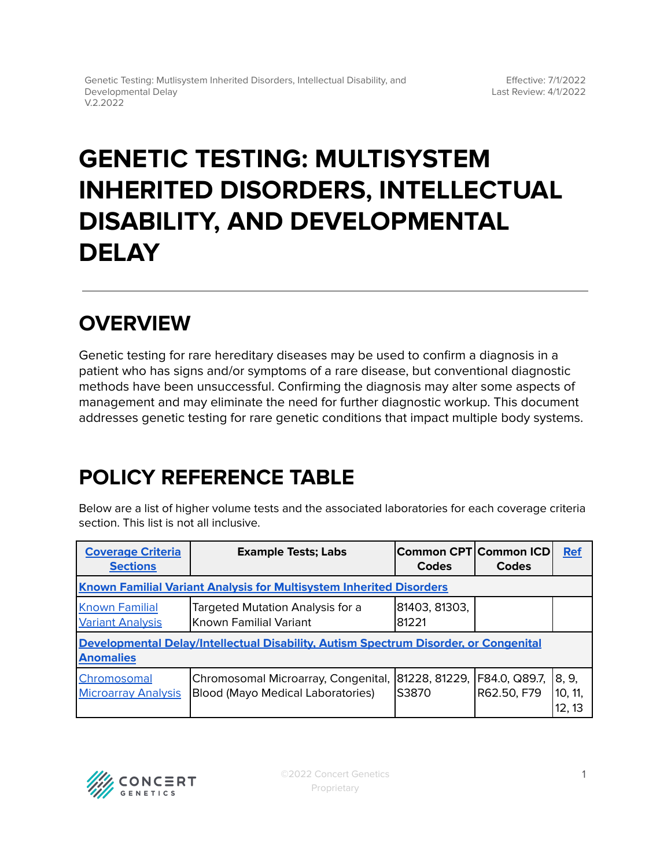# **GENETIC TESTING: MULTISYSTEM INHERITED DISORDERS, INTELLECTUAL DISABILITY, AND DEVELOPMENTAL DELAY**

# **OVERVIEW**

Genetic testing for rare hereditary diseases may be used to confirm a diagnosis in a patient who has signs and/or symptoms of a rare disease, but conventional diagnostic methods have been unsuccessful. Confirming the diagnosis may alter some aspects of management and may eliminate the need for further diagnostic workup. This document addresses genetic testing for rare genetic conditions that impact multiple body systems.

# <span id="page-0-0"></span>**POLICY REFERENCE TABLE**

Below are a list of higher volume tests and the associated laboratories for each coverage criteria section. This list is not all inclusive.

| <b>Coverage Criteria</b><br><b>Sections</b>                                                              | <b>Example Tests; Labs</b>                                               | Common CPT Common ICD <br>Codes | Codes                        | <b>Ref</b>                 |
|----------------------------------------------------------------------------------------------------------|--------------------------------------------------------------------------|---------------------------------|------------------------------|----------------------------|
| <b>Known Familial Variant Analysis for Multisystem Inherited Disorders</b>                               |                                                                          |                                 |                              |                            |
| <b>Known Familial</b><br><b>Variant Analysis</b>                                                         | Targeted Mutation Analysis for a<br>Known Familial Variant               | 81403, 81303,<br>81221          |                              |                            |
| Developmental Delay/Intellectual Disability, Autism Spectrum Disorder, or Congenital<br><b>Anomalies</b> |                                                                          |                                 |                              |                            |
| Chromosomal<br><b>Microarray Analysis</b>                                                                | Chromosomal Microarray, Congenital,<br>Blood (Mayo Medical Laboratories) | 81228, 81229,<br>IS3870         | F84.0, Q89.7,<br>R62.50, F79 | 8, 9,<br>10, 11,<br>12, 13 |

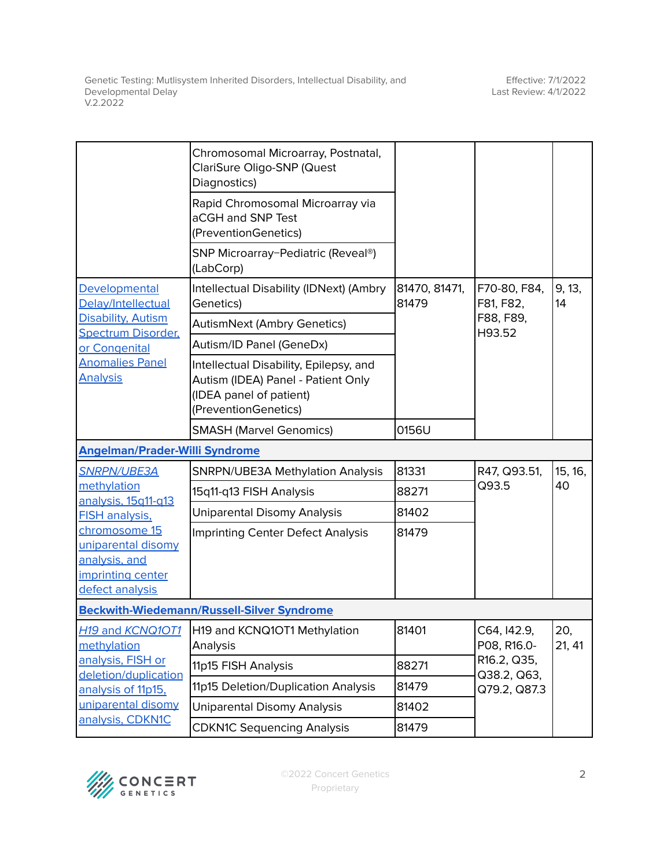|                                                                                                                                      | Chromosomal Microarray, Postnatal,<br>ClariSure Oligo-SNP (Quest<br>Diagnostics)                                                |                        |                                                                          |               |
|--------------------------------------------------------------------------------------------------------------------------------------|---------------------------------------------------------------------------------------------------------------------------------|------------------------|--------------------------------------------------------------------------|---------------|
|                                                                                                                                      | Rapid Chromosomal Microarray via<br>aCGH and SNP Test<br>(PreventionGenetics)                                                   |                        |                                                                          |               |
|                                                                                                                                      | SNP Microarray-Pediatric (Reveal®)<br>(LabCorp)                                                                                 |                        |                                                                          |               |
| Developmental<br>Delay/Intellectual                                                                                                  | Intellectual Disability (IDNext) (Ambry<br>Genetics)                                                                            | 81470, 81471,<br>81479 | F70-80, F84,<br>F81, F82,<br>F88, F89,<br>H93.52                         | 9, 13,<br>14  |
| <b>Disability, Autism</b><br><b>Spectrum Disorder,</b>                                                                               | <b>AutismNext (Ambry Genetics)</b>                                                                                              |                        |                                                                          |               |
| or Congenital                                                                                                                        | Autism/ID Panel (GeneDx)                                                                                                        |                        |                                                                          |               |
| <b>Anomalies Panel</b><br><b>Analysis</b>                                                                                            | Intellectual Disability, Epilepsy, and<br>Autism (IDEA) Panel - Patient Only<br>(IDEA panel of patient)<br>(PreventionGenetics) |                        |                                                                          |               |
|                                                                                                                                      | <b>SMASH (Marvel Genomics)</b>                                                                                                  | 0156U                  |                                                                          |               |
| <b>Angelman/Prader-Willi Syndrome</b>                                                                                                |                                                                                                                                 |                        |                                                                          |               |
| <b>SNRPN/UBE3A</b>                                                                                                                   | <b>SNRPN/UBE3A Methylation Analysis</b>                                                                                         | 81331                  | R47, Q93.51,<br>Q93.5                                                    | 15, 16,<br>40 |
| methylation<br>analysis, 15q11-q13<br>FISH analysis,                                                                                 | 15q11-q13 FISH Analysis                                                                                                         | 88271                  |                                                                          |               |
|                                                                                                                                      | <b>Uniparental Disomy Analysis</b>                                                                                              | 81402                  |                                                                          |               |
| chromosome 15<br>uniparental disomy<br>analysis, and<br>imprinting center<br>defect analysis                                         | <b>Imprinting Center Defect Analysis</b>                                                                                        | 81479                  |                                                                          |               |
|                                                                                                                                      | <b>Beckwith-Wiedemann/Russell-Silver Syndrome</b>                                                                               |                        |                                                                          |               |
| H <sub>19</sub> and KCNQ10T1<br>methylation<br>analysis, FISH or<br>deletion/duplication<br>analysis of 11p15,<br>uniparental disomy | H19 and KCNQ1OT1 Methylation<br>Analysis                                                                                        | 81401                  | C64, I42.9,<br>P08, R16.0-<br>R16.2, Q35,<br>Q38.2, Q63,<br>Q79.2, Q87.3 | 20,<br>21, 41 |
|                                                                                                                                      | 11p15 FISH Analysis                                                                                                             | 88271                  |                                                                          |               |
|                                                                                                                                      | 11p15 Deletion/Duplication Analysis                                                                                             | 81479                  |                                                                          |               |
|                                                                                                                                      | <b>Uniparental Disomy Analysis</b>                                                                                              | 81402                  |                                                                          |               |
| analysis, CDKN1C                                                                                                                     | <b>CDKN1C Sequencing Analysis</b>                                                                                               | 81479                  |                                                                          |               |

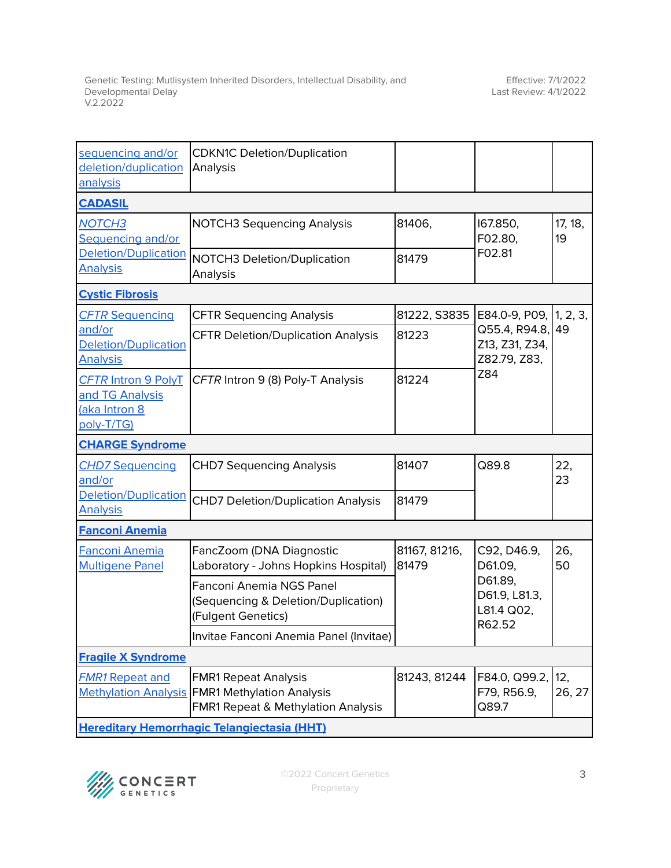| sequencing and/or<br>deletion/duplication<br>analysis                        | <b>CDKN1C Deletion/Duplication</b><br>Analysis                                                                        |                        |                                                  |               |
|------------------------------------------------------------------------------|-----------------------------------------------------------------------------------------------------------------------|------------------------|--------------------------------------------------|---------------|
| <b>CADASIL</b>                                                               |                                                                                                                       |                        |                                                  |               |
| <b>NOTCH3</b><br>Sequencing and/or                                           | <b>NOTCH3 Sequencing Analysis</b>                                                                                     | 81406,                 | 167.850,<br>F02.80,                              | 17, 18,<br>19 |
| <b>Deletion/Duplication</b><br><b>Analysis</b>                               | NOTCH3 Deletion/Duplication<br>Analysis                                                                               | 81479                  | F02.81                                           |               |
| <b>Cystic Fibrosis</b>                                                       |                                                                                                                       |                        |                                                  |               |
| <b>CFTR Sequencing</b>                                                       | <b>CFTR Sequencing Analysis</b>                                                                                       | 81222, S3835           | E84.0-9, P09, 1, 2, 3,                           |               |
| and/or<br><b>Deletion/Duplication</b><br><b>Analysis</b>                     | <b>CFTR Deletion/Duplication Analysis</b>                                                                             | 81223                  | Q55.4, R94.8,<br>Z13, Z31, Z34,<br>Z82.79, Z83,  | 49            |
| <b>CFTR Intron 9 PolyT</b><br>and TG Analysis<br>(aka Intron 8<br>poly-T/TG) | CFTR Intron 9 (8) Poly-T Analysis                                                                                     | 81224                  | Z84                                              |               |
| <b>CHARGE Syndrome</b>                                                       |                                                                                                                       |                        |                                                  |               |
| <b>CHD7 Sequencing</b><br>and/or                                             | <b>CHD7 Sequencing Analysis</b>                                                                                       | 81407                  | Q89.8                                            | 22,<br>23     |
| Deletion/Duplication<br><b>Analysis</b>                                      | <b>CHD7 Deletion/Duplication Analysis</b>                                                                             | 81479                  |                                                  |               |
| <b>Fanconi Anemia</b>                                                        |                                                                                                                       |                        |                                                  |               |
| Fanconi Anemia<br><b>Multigene Panel</b>                                     | FancZoom (DNA Diagnostic<br>Laboratory - Johns Hopkins Hospital)                                                      | 81167, 81216,<br>81479 | C92, D46.9,<br>D61.09,                           | 26,<br>50     |
|                                                                              | <b>Fanconi Anemia NGS Panel</b><br>(Sequencing & Deletion/Duplication)<br>(Fulgent Genetics)                          |                        | D61.89,<br>D61.9, L81.3,<br>L81.4 Q02,<br>R62.52 |               |
|                                                                              | Invitae Fanconi Anemia Panel (Invitae)                                                                                |                        |                                                  |               |
| <b>Fragile X Syndrome</b>                                                    |                                                                                                                       |                        |                                                  |               |
| <b>FMR1 Repeat and</b>                                                       | <b>FMR1 Repeat Analysis</b><br>Methylation Analysis   FMR1 Methylation Analysis<br>FMR1 Repeat & Methylation Analysis | 81243, 81244           | F84.0, Q99.2, 12,<br>F79, R56.9,<br>Q89.7        | 26, 27        |
| <b>Hereditary Hemorrhagic Telangiectasia (HHT)</b>                           |                                                                                                                       |                        |                                                  |               |

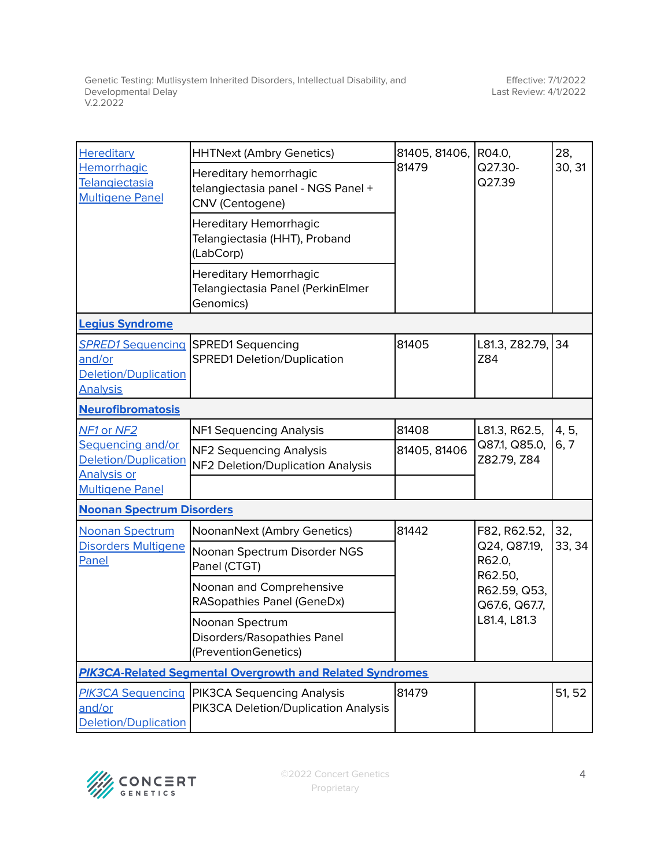| Hereditary<br>Hemorrhagic<br>Telangiectasia<br><b>Multigene Panel</b>                     | <b>HHTNext (Ambry Genetics)</b>                                                 | 81405, 81406,<br>81479 | R04.0,<br>Q27.30-<br>Q27.39                                                                        | 28,<br>30, 31 |  |
|-------------------------------------------------------------------------------------------|---------------------------------------------------------------------------------|------------------------|----------------------------------------------------------------------------------------------------|---------------|--|
|                                                                                           | Hereditary hemorrhagic<br>telangiectasia panel - NGS Panel +<br>CNV (Centogene) |                        |                                                                                                    |               |  |
|                                                                                           | <b>Hereditary Hemorrhagic</b><br>Telangiectasia (HHT), Proband<br>(LabCorp)     |                        |                                                                                                    |               |  |
|                                                                                           | <b>Hereditary Hemorrhagic</b><br>Telangiectasia Panel (PerkinElmer<br>Genomics) |                        |                                                                                                    |               |  |
| <b>Legius Syndrome</b>                                                                    |                                                                                 |                        |                                                                                                    |               |  |
| and/or<br><b>Deletion/Duplication</b><br><b>Analysis</b>                                  | <b>SPRED1 Sequencing SPRED1 Sequencing</b><br>SPRED1 Deletion/Duplication       | 81405                  | L81.3, Z82.79, 34<br>Z84                                                                           |               |  |
| <b>Neurofibromatosis</b>                                                                  |                                                                                 |                        |                                                                                                    |               |  |
| NF1 or NF2                                                                                | NF1 Sequencing Analysis                                                         | 81408                  | L81.3, R62.5,                                                                                      | 4, 5,         |  |
| Sequencing and/or<br>Deletion/Duplication<br><b>Analysis or</b><br><b>Multigene Panel</b> | NF2 Sequencing Analysis<br>NF2 Deletion/Duplication Analysis                    | 81405, 81406           | Q87.1, Q85.0,<br>Z82.79, Z84                                                                       | 6, 7          |  |
| <b>Noonan Spectrum Disorders</b>                                                          |                                                                                 |                        |                                                                                                    |               |  |
| <b>Noonan Spectrum</b>                                                                    | NoonanNext (Ambry Genetics)                                                     | 81442                  | F82, R62.52,<br>Q24, Q87.19,<br>R62.0,<br>R62.50,<br>R62.59, Q53,<br>Q67.6, Q67.7,<br>L81.4, L81.3 | 32,<br>33, 34 |  |
| Disorders Multigene<br>Panel                                                              | Noonan Spectrum Disorder NGS<br>Panel (CTGT)                                    |                        |                                                                                                    |               |  |
|                                                                                           | Noonan and Comprehensive<br><b>RASopathies Panel (GeneDx)</b>                   |                        |                                                                                                    |               |  |
|                                                                                           | Noonan Spectrum<br>Disorders/Rasopathies Panel<br>(PreventionGenetics)          |                        |                                                                                                    |               |  |
| <b>PIK3CA-Related Segmental Overgrowth and Related Syndromes</b>                          |                                                                                 |                        |                                                                                                    |               |  |
| PIK3CA Sequencing<br>and/or<br>Deletion/Duplication                                       | <b>PIK3CA Sequencing Analysis</b><br>PIK3CA Deletion/Duplication Analysis       | 81479                  |                                                                                                    | 51, 52        |  |

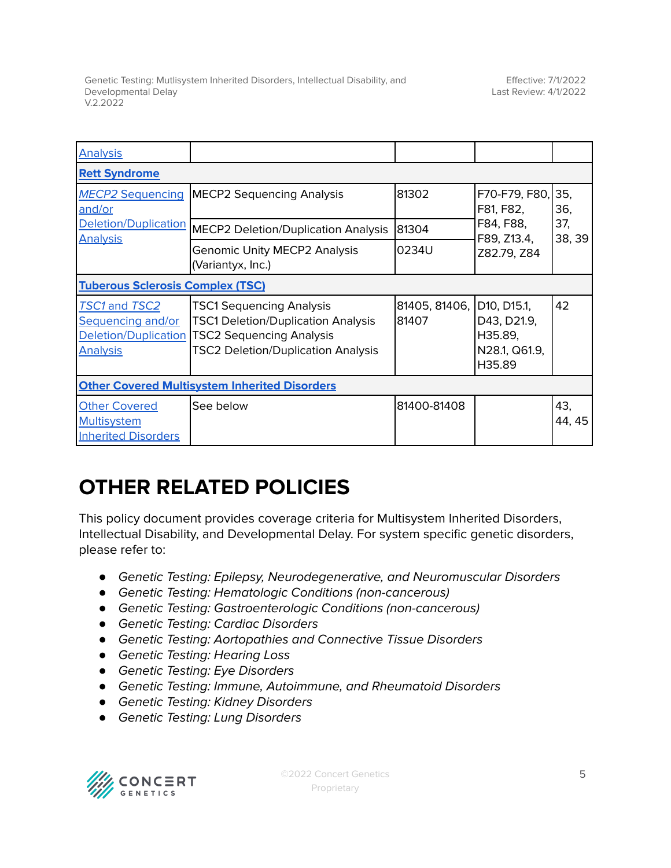| <b>Analysis</b>                                                               |                                                                                                                                                              |                        |                                                                  |               |
|-------------------------------------------------------------------------------|--------------------------------------------------------------------------------------------------------------------------------------------------------------|------------------------|------------------------------------------------------------------|---------------|
| <b>Rett Syndrome</b>                                                          |                                                                                                                                                              |                        |                                                                  |               |
| <b>MECP2 Sequencing</b><br>and/or                                             | <b>MECP2 Sequencing Analysis</b>                                                                                                                             | 81302                  | F70-F79, F80,<br>F81, F82,                                       | 35,<br>36,    |
| Deletion/Duplication<br><b>Analysis</b>                                       | <b>MECP2 Deletion/Duplication Analysis</b>                                                                                                                   | 81304                  | F84, F88,<br>F89, Z13.4,<br>Z82.79, Z84                          | 37,<br>38, 39 |
|                                                                               | <b>Genomic Unity MECP2 Analysis</b><br>(Variantyx, Inc.)                                                                                                     | 0234U                  |                                                                  |               |
| <b>Tuberous Sclerosis Complex (TSC)</b>                                       |                                                                                                                                                              |                        |                                                                  |               |
| TSC1 and TSC2<br>Sequencing and/or<br>Deletion/Duplication<br><b>Analysis</b> | <b>TSC1 Sequencing Analysis</b><br><b>TSC1 Deletion/Duplication Analysis</b><br><b>TSC2 Sequencing Analysis</b><br><b>TSC2 Deletion/Duplication Analysis</b> | 81405, 81406,<br>81407 | D10, D15.1,<br>D43, D21.9,<br>H35.89,<br>N28.1, Q61.9,<br>H35.89 | 42            |
| <b>Other Covered Multisystem Inherited Disorders</b>                          |                                                                                                                                                              |                        |                                                                  |               |
| <b>Other Covered</b><br><b>Multisystem</b><br><b>Inherited Disorders</b>      | See below                                                                                                                                                    | 81400-81408            |                                                                  | 43.<br>44, 45 |

# **OTHER RELATED POLICIES**

This policy document provides coverage criteria for Multisystem Inherited Disorders, Intellectual Disability, and Developmental Delay. For system specific genetic disorders, please refer to:

- *●* Genetic Testing: Epilepsy, Neurodegenerative, and Neuromuscular Disorders
- *●* Genetic Testing: Hematologic Conditions (non-cancerous)
- *●* Genetic Testing: Gastroenterologic Conditions (non-cancerous)
- *●* Genetic Testing: Cardiac Disorders
- *●* Genetic Testing: Aortopathies and Connective Tissue Disorders
- *●* Genetic Testing: Hearing Loss
- *●* Genetic Testing: Eye Disorders
- *●* Genetic Testing: Immune, Autoimmune, and Rheumatoid Disorders
- *●* Genetic Testing: Kidney Disorders
- *●* Genetic Testing: Lung Disorders



©2022 Concert Genetics Proprietary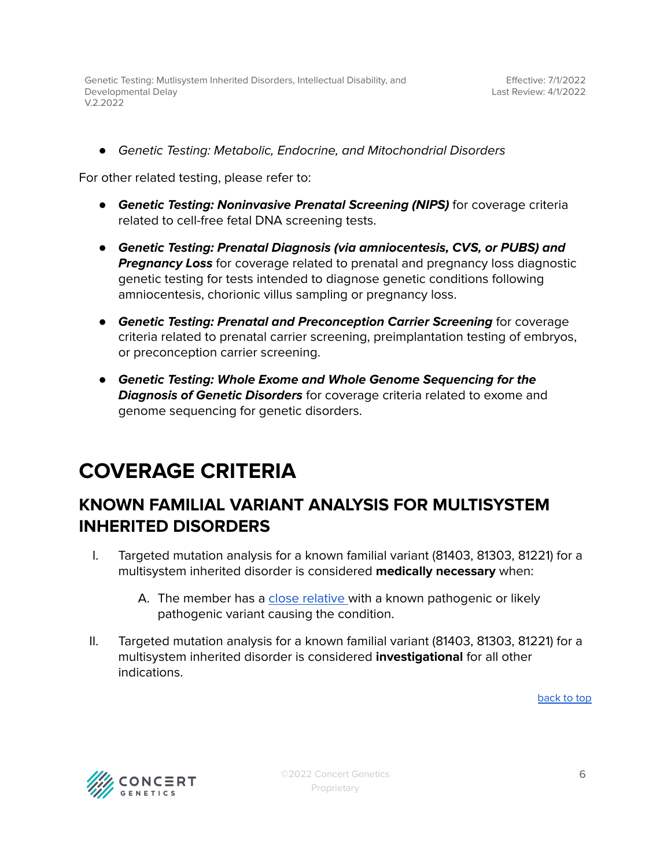*●* Genetic Testing: Metabolic, Endocrine, and Mitochondrial Disorders

For other related testing, please refer to:

- *●* **Genetic Testing: Noninvasive Prenatal Screening (NIPS)** for coverage criteria related to cell-free fetal DNA screening tests.
- *●* **Genetic Testing: Prenatal Diagnosis (via amniocentesis, CVS, or PUBS) and Pregnancy Loss** for coverage related to prenatal and pregnancy loss diagnostic genetic testing for tests intended to diagnose genetic conditions following amniocentesis, chorionic villus sampling or pregnancy loss.
- *●* **Genetic Testing: Prenatal and Preconception Carrier Screening** for coverage criteria related to prenatal carrier screening, preimplantation testing of embryos, or preconception carrier screening.
- *●* **Genetic Testing: Whole Exome and Whole Genome Sequencing for the Diagnosis of Genetic Disorders** for coverage criteria related to exome and genome sequencing for genetic disorders.

# <span id="page-5-0"></span>**COVERAGE CRITERIA**

# <span id="page-5-1"></span>**KNOWN FAMILIAL VARIANT ANALYSIS FOR MULTISYSTEM INHERITED DISORDERS**

- I. Targeted mutation analysis for a known familial variant (81403, 81303, 81221) for a multisystem inherited disorder is considered **medically necessary** when:
	- A. The member has a close [relative](#page-24-0) with a known pathogenic or likely pathogenic variant causing the condition.
- II. Targeted mutation analysis for a known familial variant (81403, 81303, 81221) for a multisystem inherited disorder is considered **investigational** for all other indications.

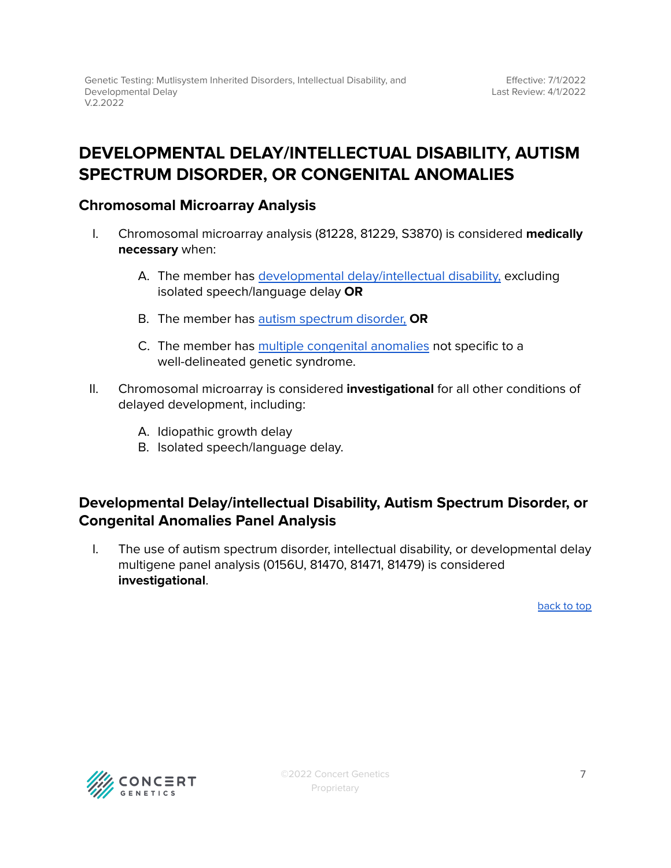## <span id="page-6-0"></span>**DEVELOPMENTAL DELAY/INTELLECTUAL DISABILITY, AUTISM SPECTRUM DISORDER, OR CONGENITAL ANOMALIES**

### <span id="page-6-1"></span>**Chromosomal Microarray Analysis**

- I. Chromosomal microarray analysis (81228, 81229, S3870) is considered **medically necessary** when:
	- A. The member has developmental [delay/intellectual](#page-24-0) disability, excluding isolated speech/language delay **OR**
	- B. The member has autism [spectrum](#page-24-0) disorder, **OR**
	- C. The member has multiple [congenital](#page-24-0) anomalies not specific to a well-delineated genetic syndrome.
- II. Chromosomal microarray is considered **investigational** for all other conditions of delayed development, including:
	- A. Idiopathic growth delay
	- B. Isolated speech/language delay.

### <span id="page-6-2"></span>**Developmental Delay/intellectual Disability, Autism Spectrum Disorder, or Congenital Anomalies Panel Analysis**

I. The use of autism spectrum disorder, intellectual disability, or developmental delay multigene panel analysis (0156U, 81470, 81471, 81479) is considered **investigational**.

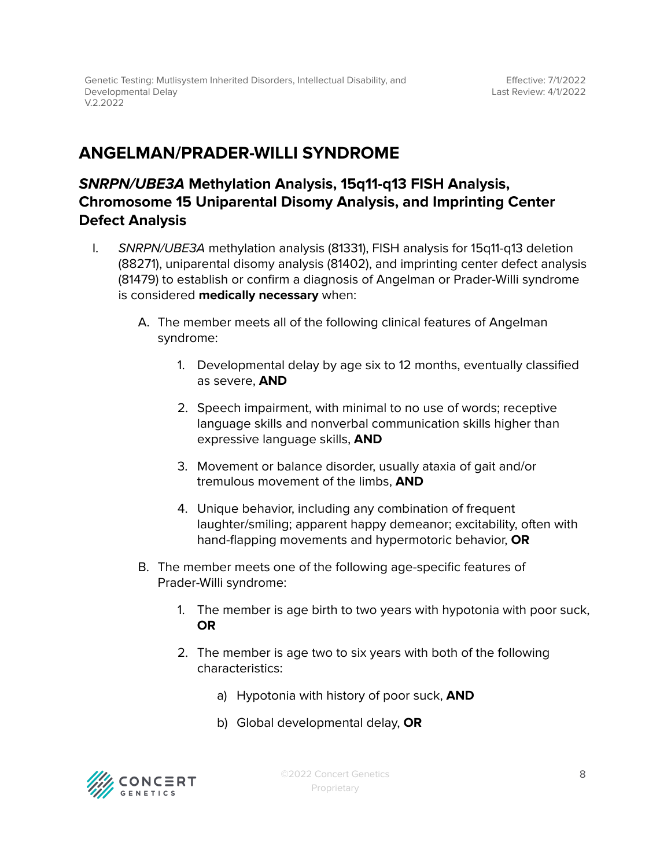## <span id="page-7-0"></span>**ANGELMAN/PRADER-WILLI SYNDROME**

### **SNRPN/UBE3A Methylation Analysis, 15q11-q13 FISH Analysis, Chromosome 15 Uniparental Disomy Analysis, and Imprinting Center Defect Analysis**

- <span id="page-7-1"></span>I. SNRPN/UBE3A methylation analysis (81331), FISH analysis for 15q11-q13 deletion (88271), uniparental disomy analysis (81402), and imprinting center defect analysis (81479) to establish or confirm a diagnosis of Angelman or Prader-Willi syndrome is considered **medically necessary** when:
	- A. The member meets all of the following clinical features of Angelman syndrome:
		- 1. Developmental delay by age six to 12 months, eventually classified as severe, **AND**
		- 2. Speech impairment, with minimal to no use of words; receptive language skills and nonverbal communication skills higher than expressive language skills, **AND**
		- 3. Movement or balance disorder, usually ataxia of gait and/or tremulous movement of the limbs, **AND**
		- 4. Unique behavior, including any combination of frequent laughter/smiling; apparent happy demeanor; excitability, often with hand-flapping movements and hypermotoric behavior, **OR**
	- B. The member meets one of the following age-specific features of Prader-Willi syndrome:
		- 1. The member is age birth to two years with hypotonia with poor suck, **OR**
		- 2. The member is age two to six years with both of the following characteristics:
			- a) Hypotonia with history of poor suck, **AND**
			- b) Global developmental delay, **OR**

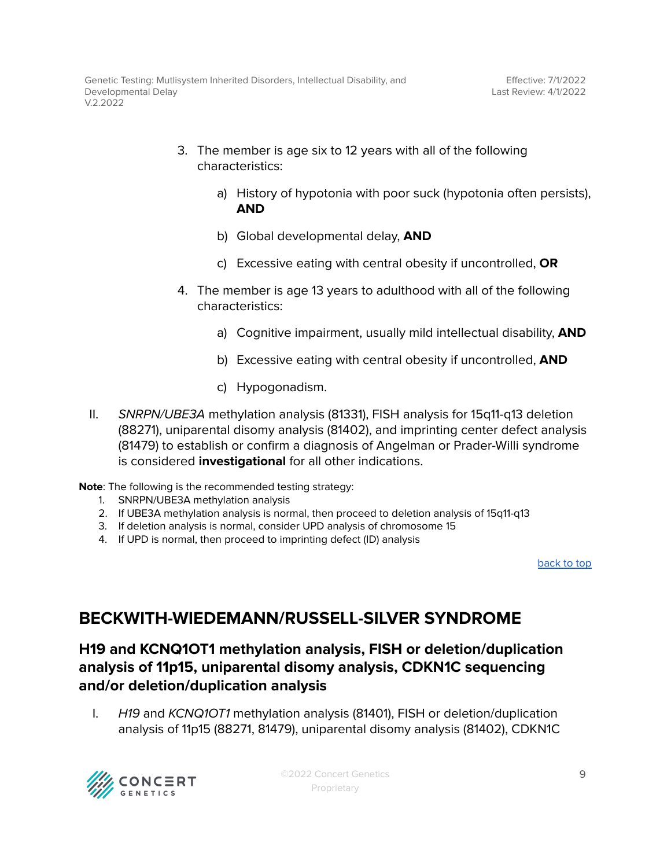- 3. The member is age six to 12 years with all of the following characteristics:
	- a) History of hypotonia with poor suck (hypotonia often persists), **AND**
	- b) Global developmental delay, **AND**
	- c) Excessive eating with central obesity if uncontrolled, **OR**
- 4. The member is age 13 years to adulthood with all of the following characteristics:
	- a) Cognitive impairment, usually mild intellectual disability, **AND**
	- b) Excessive eating with central obesity if uncontrolled, **AND**
	- c) Hypogonadism.
- II. SNRPN/UBE3A methylation analysis (81331), FISH analysis for 15q11-q13 deletion (88271), uniparental disomy analysis (81402), and imprinting center defect analysis (81479) to establish or confirm a diagnosis of Angelman or Prader-Willi syndrome is considered **investigational** for all other indications.

**Note**: The following is the recommended testing strategy:

- 1. SNRPN/UBE3A methylation analysis
- 2. If UBE3A methylation analysis is normal, then proceed to deletion analysis of 15q11-q13
- 3. If deletion analysis is normal, consider UPD analysis of chromosome 15
- 4. If UPD is normal, then proceed to imprinting defect (ID) analysis

[back](#page-0-0) to top

# <span id="page-8-0"></span>**BECKWITH-WIEDEMANN/RUSSELL-SILVER SYNDROME**

### **H19 and KCNQ1OT1 methylation analysis, FISH or deletion/duplication analysis of 11p15, uniparental disomy analysis, CDKN1C sequencing and/or deletion/duplication analysis**

<span id="page-8-1"></span>I. H19 and KCNQ1OT1 methylation analysis (81401), FISH or deletion/duplication analysis of 11p15 (88271, 81479), uniparental disomy analysis (81402), CDKN1C



©2022 Concert Genetics Proprietary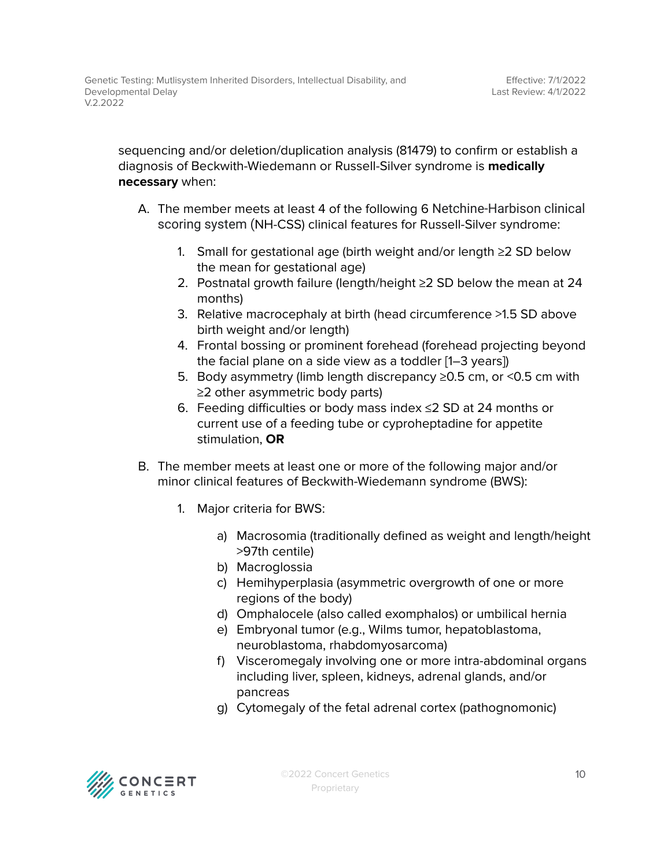sequencing and/or deletion/duplication analysis (81479) to confirm or establish a diagnosis of Beckwith-Wiedemann or Russell-Silver syndrome is **medically necessary** when:

- A. The member meets at least 4 of the following 6 Netchine-Harbison clinical scoring system (NH-CSS) clinical features for Russell-Silver syndrome:
	- 1. Small for gestational age (birth weight and/or length ≥2 SD below the mean for gestational age)
	- 2. Postnatal growth failure (length/height ≥2 SD below the mean at 24 months)
	- 3. Relative macrocephaly at birth (head circumference >1.5 SD above birth weight and/or length)
	- 4. Frontal bossing or prominent forehead (forehead projecting beyond the facial plane on a side view as a toddler [1–3 years])
	- 5. Body asymmetry (limb length discrepancy ≥0.5 cm, or <0.5 cm with ≥2 other asymmetric body parts)
	- 6. Feeding difficulties or body mass index ≤2 SD at 24 months or current use of a feeding tube or cyproheptadine for appetite stimulation, **OR**
- B. The member meets at least one or more of the following major and/or minor clinical features of Beckwith-Wiedemann syndrome (BWS):
	- 1. Major criteria for BWS:
		- a) Macrosomia (traditionally defined as weight and length/height >97th centile)
		- b) Macroglossia
		- c) Hemihyperplasia (asymmetric overgrowth of one or more regions of the body)
		- d) Omphalocele (also called exomphalos) or umbilical hernia
		- e) Embryonal tumor (e.g., Wilms tumor, hepatoblastoma, neuroblastoma, rhabdomyosarcoma)
		- f) Visceromegaly involving one or more intra-abdominal organs including liver, spleen, kidneys, adrenal glands, and/or pancreas
		- g) Cytomegaly of the fetal adrenal cortex (pathognomonic)

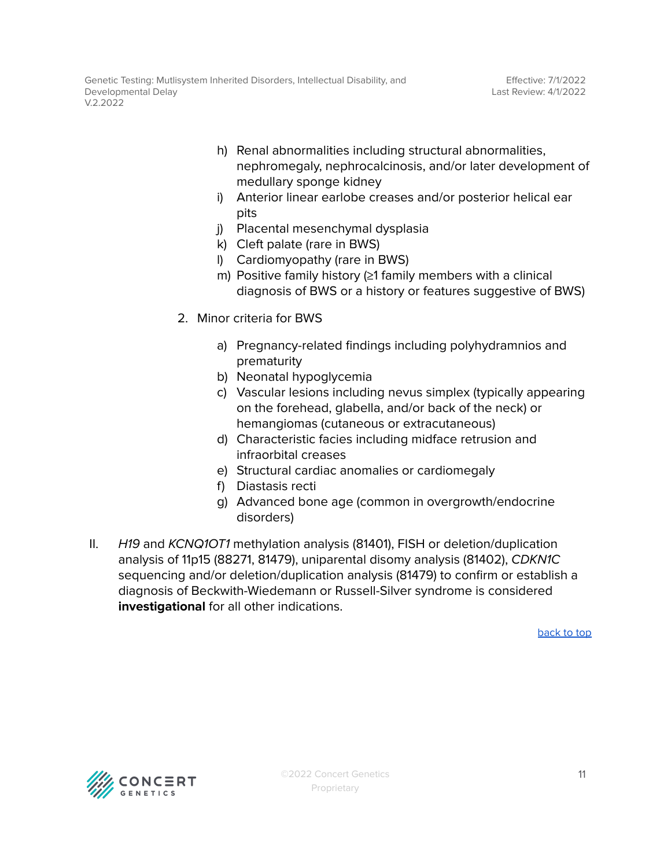- h) Renal abnormalities including structural abnormalities, nephromegaly, nephrocalcinosis, and/or later development of medullary sponge kidney
- i) Anterior linear earlobe creases and/or posterior helical ear pits
- j) Placental mesenchymal dysplasia
- k) Cleft palate (rare in BWS)
- l) Cardiomyopathy (rare in BWS)
- m) Positive family history (≥1 family members with a clinical diagnosis of BWS or a history or features suggestive of BWS)
- 2. Minor criteria for BWS
	- a) Pregnancy-related findings including polyhydramnios and prematurity
	- b) Neonatal hypoglycemia
	- c) Vascular lesions including nevus simplex (typically appearing on the forehead, glabella, and/or back of the neck) or hemangiomas (cutaneous or extracutaneous)
	- d) Characteristic facies including midface retrusion and infraorbital creases
	- e) Structural cardiac anomalies or cardiomegaly
	- f) Diastasis recti
	- g) Advanced bone age (common in overgrowth/endocrine disorders)
- II. H19 and KCNQ1OT1 methylation analysis (81401), FISH or deletion/duplication analysis of 11p15 (88271, 81479), uniparental disomy analysis (81402), CDKN1C sequencing and/or deletion/duplication analysis (81479) to confirm or establish a diagnosis of Beckwith-Wiedemann or Russell-Silver syndrome is considered **investigational** for all other indications.

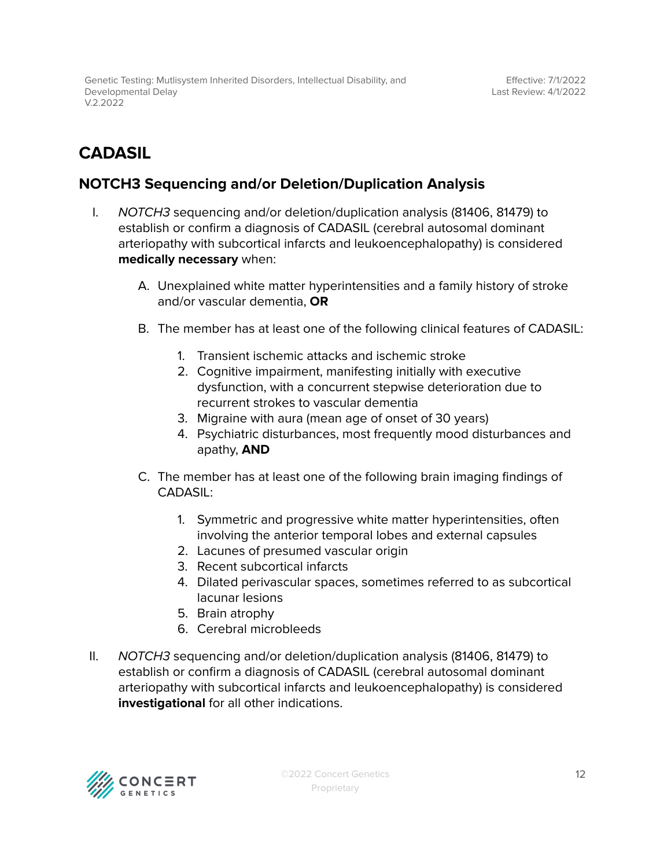# <span id="page-11-0"></span>**CADASIL**

### <span id="page-11-1"></span>**NOTCH3 Sequencing and/or Deletion/Duplication Analysis**

- I. NOTCH3 sequencing and/or deletion/duplication analysis (81406, 81479) to establish or confirm a diagnosis of CADASIL (cerebral autosomal dominant arteriopathy with subcortical infarcts and leukoencephalopathy) is considered **medically necessary** when:
	- A. Unexplained white matter hyperintensities and a family history of stroke and/or vascular dementia, **OR**
	- B. The member has at least one of the following clinical features of CADASIL:
		- 1. Transient ischemic attacks and ischemic stroke
		- 2. Cognitive impairment, manifesting initially with executive dysfunction, with a concurrent stepwise deterioration due to recurrent strokes to vascular dementia
		- 3. Migraine with aura (mean age of onset of 30 years)
		- 4. Psychiatric disturbances, most frequently mood disturbances and apathy, **AND**
	- C. The member has at least one of the following brain imaging findings of CADASIL:
		- 1. Symmetric and progressive white matter hyperintensities, often involving the anterior temporal lobes and external capsules
		- 2. Lacunes of presumed vascular origin
		- 3. Recent subcortical infarcts
		- 4. Dilated perivascular spaces, sometimes referred to as subcortical lacunar lesions
		- 5. Brain atrophy
		- 6. Cerebral microbleeds
- II. NOTCH3 sequencing and/or deletion/duplication analysis (81406, 81479) to establish or confirm a diagnosis of CADASIL (cerebral autosomal dominant arteriopathy with subcortical infarcts and leukoencephalopathy) is considered **investigational** for all other indications.

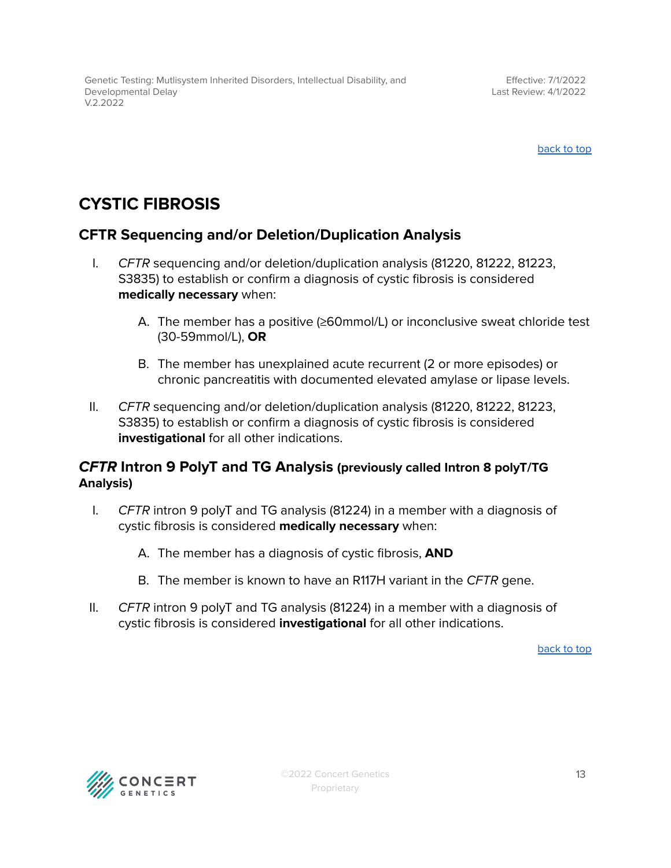# <span id="page-12-0"></span>**CYSTIC FIBROSIS**

### <span id="page-12-1"></span>**CFTR Sequencing and/or Deletion/Duplication Analysis**

- I. CFTR sequencing and/or deletion/duplication analysis (81220, 81222, 81223, S3835) to establish or confirm a diagnosis of cystic fibrosis is considered **medically necessary** when:
	- A. The member has a positive (≥60mmol/L) or inconclusive sweat chloride test (30-59mmol/L), **OR**
	- B. The member has unexplained acute recurrent (2 or more episodes) or chronic pancreatitis with documented elevated amylase or lipase levels.
- II. CFTR sequencing and/or deletion/duplication analysis (81220, 81222, 81223, S3835) to establish or confirm a diagnosis of cystic fibrosis is considered **investigational** for all other indications.

### <span id="page-12-2"></span>**CFTR Intron 9 PolyT and TG Analysis (previously called Intron 8 polyT/TG Analysis)**

- I. CFTR intron 9 polyT and TG analysis (81224) in a member with a diagnosis of cystic fibrosis is considered **medically necessary** when:
	- A. The member has a diagnosis of cystic fibrosis, **AND**
	- B. The member is known to have an R117H variant in the CFTR gene.
- II.  $CFTR$  intron 9 polyT and TG analysis (81224) in a member with a diagnosis of cystic fibrosis is considered **investigational** for all other indications.

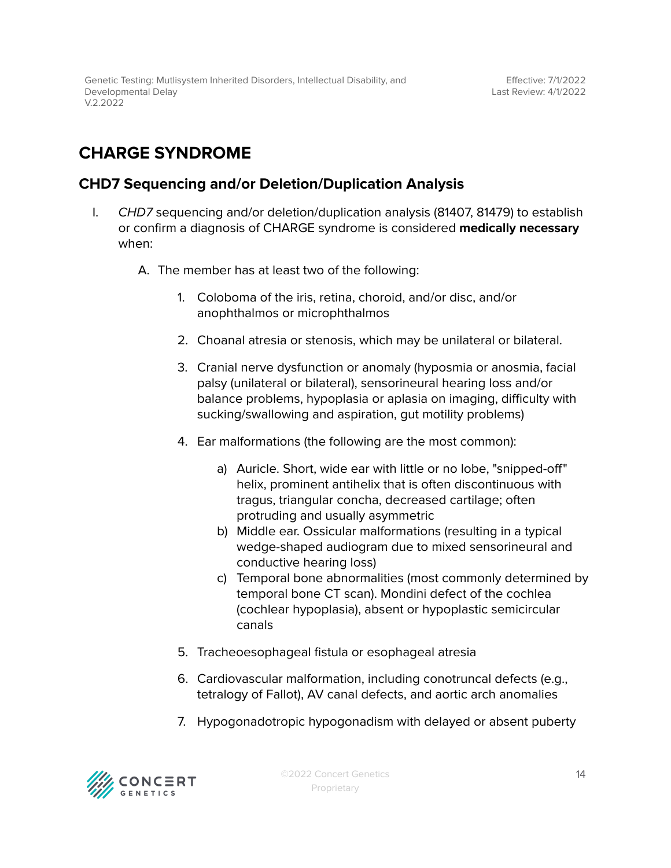# <span id="page-13-0"></span>**CHARGE SYNDROME**

### <span id="page-13-1"></span>**CHD7 Sequencing and/or Deletion/Duplication Analysis**

- I. CHD7 sequencing and/or deletion/duplication analysis (81407, 81479) to establish or confirm a diagnosis of CHARGE syndrome is considered **medically necessary** when:
	- A. The member has at least two of the following:
		- 1. Coloboma of the iris, retina, choroid, and/or disc, and/or anophthalmos or microphthalmos
		- 2. Choanal atresia or stenosis, which may be unilateral or bilateral.
		- 3. Cranial nerve dysfunction or anomaly (hyposmia or anosmia, facial palsy (unilateral or bilateral), sensorineural hearing loss and/or balance problems, hypoplasia or aplasia on imaging, difficulty with sucking/swallowing and aspiration, gut motility problems)
		- 4. Ear malformations (the following are the most common):
			- a) Auricle. Short, wide ear with little or no lobe, "snipped-off" helix, prominent antihelix that is often discontinuous with tragus, triangular concha, decreased cartilage; often protruding and usually asymmetric
			- b) Middle ear. Ossicular malformations (resulting in a typical wedge-shaped audiogram due to mixed sensorineural and conductive hearing loss)
			- c) Temporal bone abnormalities (most commonly determined by temporal bone CT scan). Mondini defect of the cochlea (cochlear hypoplasia), absent or hypoplastic semicircular canals
		- 5. Tracheoesophageal fistula or esophageal atresia
		- 6. Cardiovascular malformation, including conotruncal defects (e.g., tetralogy of Fallot), AV canal defects, and aortic arch anomalies
		- 7. Hypogonadotropic hypogonadism with delayed or absent puberty

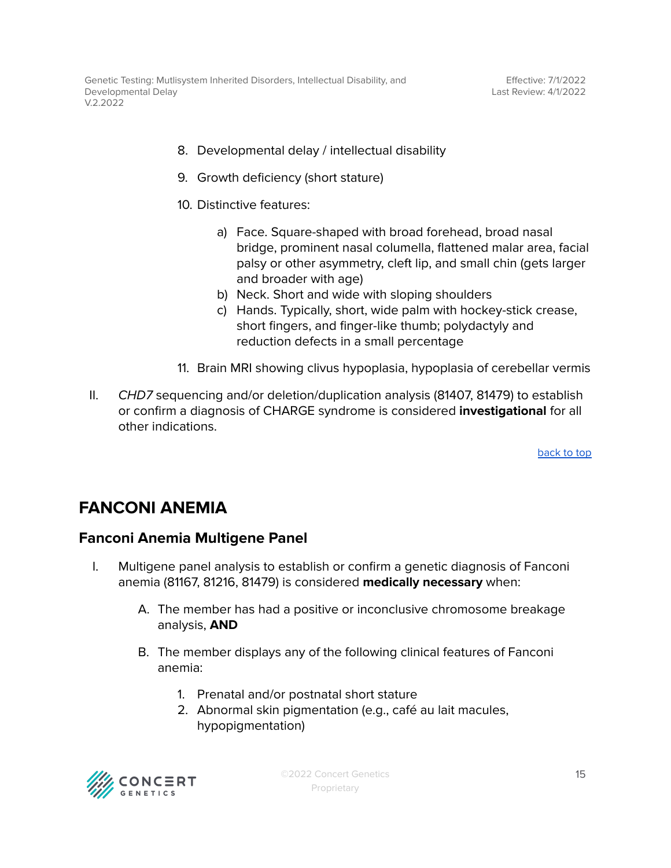- 8. Developmental delay / intellectual disability
- 9. Growth deficiency (short stature)
- 10. Distinctive features:
	- a) Face. Square-shaped with broad forehead, broad nasal bridge, prominent nasal columella, flattened malar area, facial palsy or other asymmetry, cleft lip, and small chin (gets larger and broader with age)
	- b) Neck. Short and wide with sloping shoulders
	- c) Hands. Typically, short, wide palm with hockey-stick crease, short fingers, and finger-like thumb; polydactyly and reduction defects in a small percentage
- 11. Brain MRI showing clivus hypoplasia, hypoplasia of cerebellar vermis
- II. CHD7 sequencing and/or deletion/duplication analysis (81407, 81479) to establish or confirm a diagnosis of CHARGE syndrome is considered **investigational** for all other indications.

### <span id="page-14-0"></span>**FANCONI ANEMIA**

### <span id="page-14-1"></span>**Fanconi Anemia Multigene Panel**

- I. Multigene panel analysis to establish or confirm a genetic diagnosis of Fanconi anemia (81167, 81216, 81479) is considered **medically necessary** when:
	- A. The member has had a positive or inconclusive chromosome breakage analysis, **AND**
	- B. The member displays any of the following clinical features of Fanconi anemia:
		- 1. Prenatal and/or postnatal short stature
		- 2. Abnormal skin pigmentation (e.g., café au lait macules, hypopigmentation)



©2022 Concert Genetics Proprietary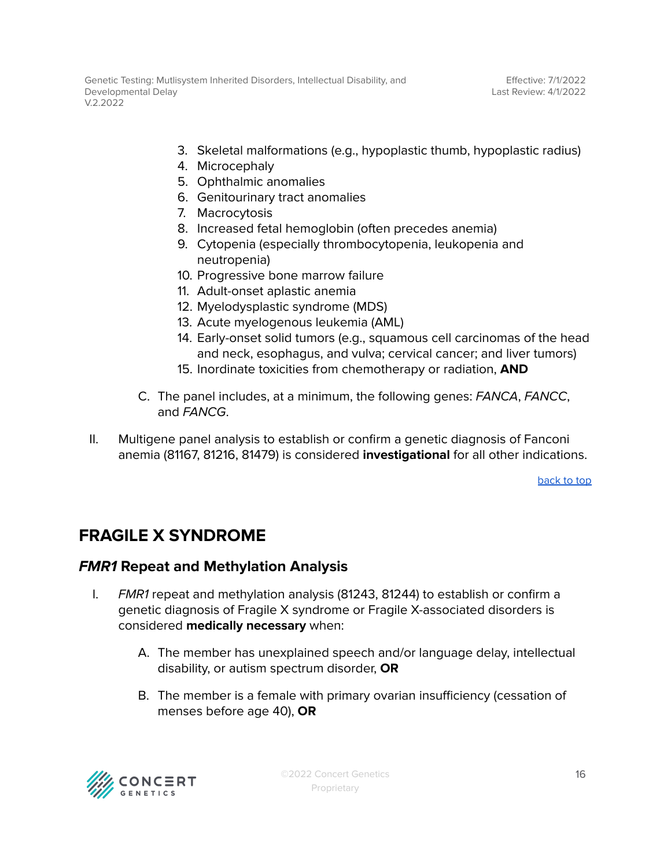- 3. Skeletal malformations (e.g., hypoplastic thumb, hypoplastic radius)
- 4. Microcephaly
- 5. Ophthalmic anomalies
- 6. Genitourinary tract anomalies
- 7. Macrocytosis
- 8. Increased fetal hemoglobin (often precedes anemia)
- 9. Cytopenia (especially thrombocytopenia, leukopenia and neutropenia)
- 10. Progressive bone marrow failure
- 11. Adult-onset aplastic anemia
- 12. Myelodysplastic syndrome (MDS)
- 13. Acute myelogenous leukemia (AML)
- 14. Early-onset solid tumors (e.g., squamous cell carcinomas of the head and neck, esophagus, and vulva; cervical cancer; and liver tumors)
- 15. Inordinate toxicities from chemotherapy or radiation, **AND**
- C. The panel includes, at a minimum, the following genes: FANCA, FANCC, and FANCG
- II. Multigene panel analysis to establish or confirm a genetic diagnosis of Fanconi anemia (81167, 81216, 81479) is considered **investigational** for all other indications.

# <span id="page-15-0"></span>**FRAGILE X SYNDROME**

### <span id="page-15-1"></span>**FMR1 Repeat and Methylation Analysis**

- I. FMR1 repeat and methylation analysis (81243, 81244) to establish or confirm a genetic diagnosis of Fragile X syndrome or Fragile X-associated disorders is considered **medically necessary** when:
	- A. The member has unexplained speech and/or language delay, intellectual disability, or autism spectrum disorder, **OR**
	- B. The member is a female with primary ovarian insufficiency (cessation of menses before age 40), **OR**

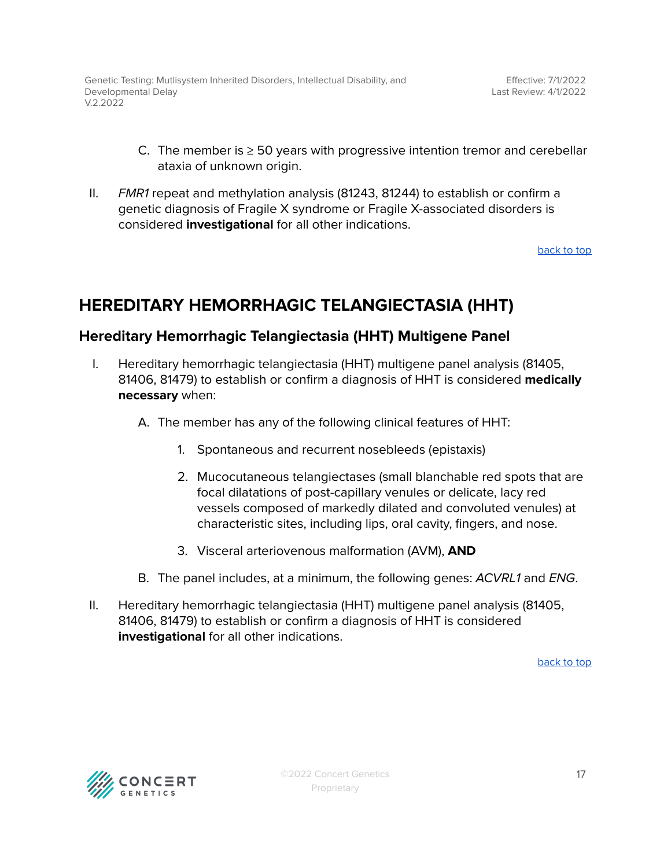- C. The member is  $\geq$  50 years with progressive intention tremor and cerebellar ataxia of unknown origin.
- II. FMR1 repeat and methylation analysis (81243, 81244) to establish or confirm a genetic diagnosis of Fragile X syndrome or Fragile X-associated disorders is considered **investigational** for all other indications.

## <span id="page-16-0"></span>**HEREDITARY HEMORRHAGIC TELANGIECTASIA (HHT)**

### <span id="page-16-1"></span>**Hereditary Hemorrhagic Telangiectasia (HHT) Multigene Panel**

- I. Hereditary hemorrhagic telangiectasia (HHT) multigene panel analysis (81405, 81406, 81479) to establish or confirm a diagnosis of HHT is considered **medically necessary** when:
	- A. The member has any of the following clinical features of HHT:
		- 1. Spontaneous and recurrent nosebleeds (epistaxis)
		- 2. Mucocutaneous telangiectases (small blanchable red spots that are focal dilatations of post-capillary venules or delicate, lacy red vessels composed of markedly dilated and convoluted venules) at characteristic sites, including lips, oral cavity, fingers, and nose.
		- 3. Visceral arteriovenous malformation (AVM), **AND**
	- B. The panel includes, at a minimum, the following genes: ACVRL1 and ENG.
- II. Hereditary hemorrhagic telangiectasia (HHT) multigene panel analysis (81405, 81406, 81479) to establish or confirm a diagnosis of HHT is considered **investigational** for all other indications.

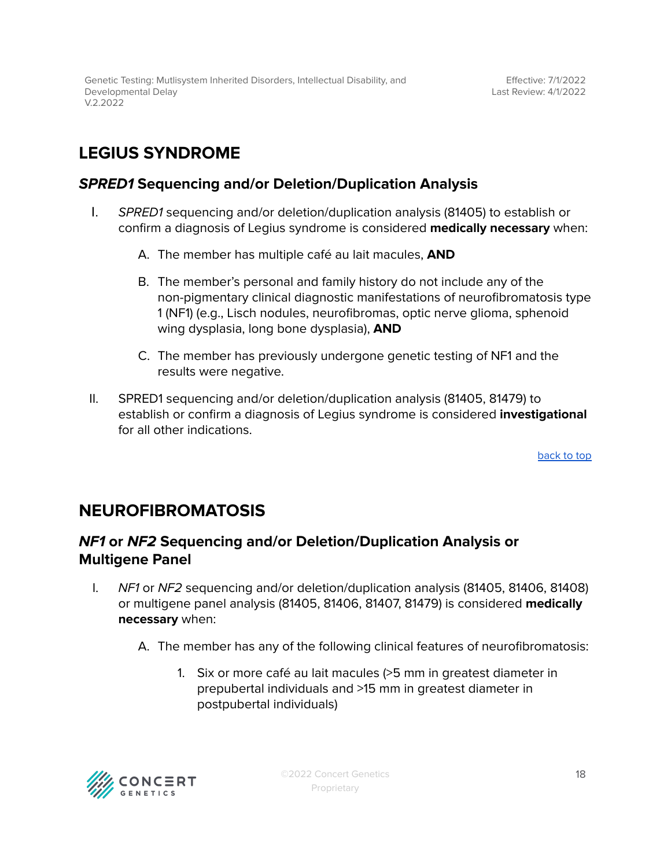# <span id="page-17-0"></span>**LEGIUS SYNDROME**

### <span id="page-17-1"></span>**SPRED1 Sequencing and/or Deletion/Duplication Analysis**

- I. SPRED1 sequencing and/or deletion/duplication analysis (81405) to establish or confirm a diagnosis of Legius syndrome is considered **medically necessary** when:
	- A. The member has multiple café au lait macules, **AND**
	- B. The member's personal and family history do not include any of the non-pigmentary clinical diagnostic manifestations of neurofibromatosis type 1 (NF1) (e.g., Lisch nodules, neurofibromas, optic nerve glioma, sphenoid wing dysplasia, long bone dysplasia), **AND**
	- C. The member has previously undergone genetic testing of NF1 and the results were negative.
- II. SPRED1 sequencing and/or deletion/duplication analysis (81405, 81479) to establish or confirm a diagnosis of Legius syndrome is considered **investigational** for all other indications.

[back](#page-0-0) to top

## <span id="page-17-2"></span>**NEUROFIBROMATOSIS**

### <span id="page-17-3"></span>**NF1 or NF2 Sequencing and/or Deletion/Duplication Analysis or Multigene Panel**

- I. NF1 or NF2 sequencing and/or deletion/duplication analysis (81405, 81406, 81408) or multigene panel analysis (81405, 81406, 81407, 81479) is considered **medically necessary** when:
	- A. The member has any of the following clinical features of neurofibromatosis:
		- 1. Six or more café au lait macules (>5 mm in greatest diameter in prepubertal individuals and >15 mm in greatest diameter in postpubertal individuals)

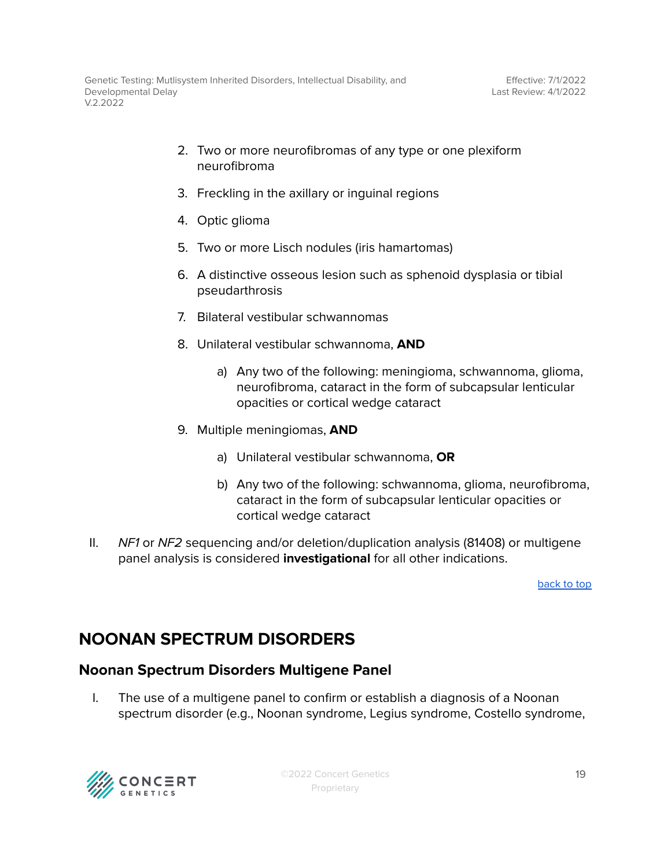- 2. Two or more neurofibromas of any type or one plexiform neurofibroma
- 3. Freckling in the axillary or inguinal regions
- 4. Optic glioma
- 5. Two or more Lisch nodules (iris hamartomas)
- 6. A distinctive osseous lesion such as sphenoid dysplasia or tibial pseudarthrosis
- 7. Bilateral vestibular schwannomas
- 8. Unilateral vestibular schwannoma, **AND**
	- a) Any two of the following: meningioma, schwannoma, glioma, neurofibroma, cataract in the form of subcapsular lenticular opacities or cortical wedge cataract
- 9. Multiple meningiomas, **AND**
	- a) Unilateral vestibular schwannoma, **OR**
	- b) Any two of the following: schwannoma, glioma, neurofibroma, cataract in the form of subcapsular lenticular opacities or cortical wedge cataract
- II. NF1 or NF2 sequencing and/or deletion/duplication analysis (81408) or multigene panel analysis is considered **investigational** for all other indications.

## <span id="page-18-0"></span>**NOONAN SPECTRUM DISORDERS**

### <span id="page-18-1"></span>**Noonan Spectrum Disorders Multigene Panel**

I. The use of a multigene panel to confirm or establish a diagnosis of a Noonan spectrum disorder (e.g., Noonan syndrome, Legius syndrome, Costello syndrome,

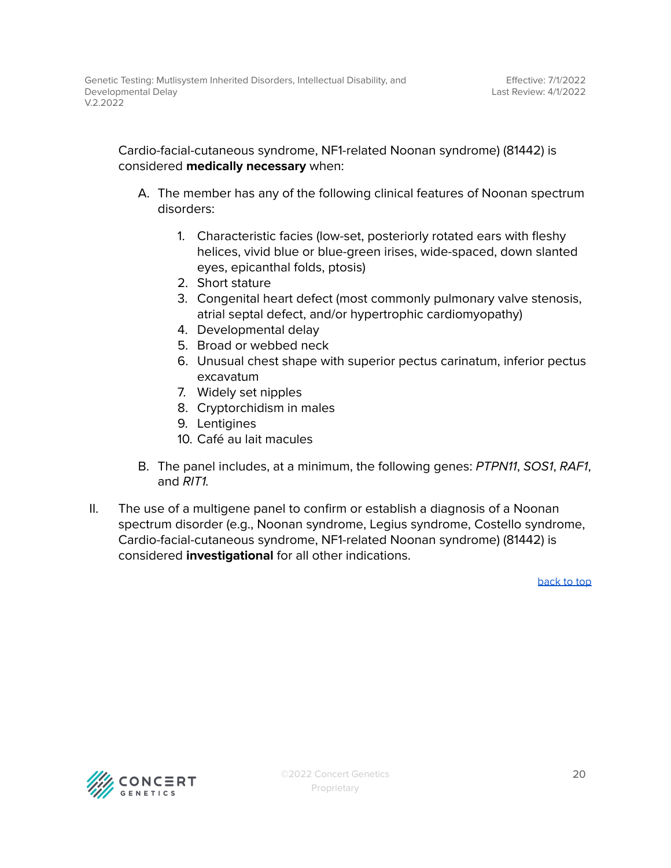Cardio-facial-cutaneous syndrome, NF1-related Noonan syndrome) (81442) is considered **medically necessary** when:

- A. The member has any of the following clinical features of Noonan spectrum disorders:
	- 1. Characteristic facies (low-set, posteriorly rotated ears with fleshy helices, vivid blue or blue-green irises, wide-spaced, down slanted eyes, epicanthal folds, ptosis)
	- 2. Short stature
	- 3. Congenital heart defect (most commonly pulmonary valve stenosis, atrial septal defect, and/or hypertrophic cardiomyopathy)
	- 4. Developmental delay
	- 5. Broad or webbed neck
	- 6. Unusual chest shape with superior pectus carinatum, inferior pectus excavatum
	- 7. Widely set nipples
	- 8. Cryptorchidism in males
	- 9. Lentigines
	- 10. Café au lait macules
- B. The panel includes, at a minimum, the following genes: PTPN11, SOS1, RAF1, and RIT1.
- II. The use of a multigene panel to confirm or establish a diagnosis of a Noonan spectrum disorder (e.g., Noonan syndrome, Legius syndrome, Costello syndrome, Cardio-facial-cutaneous syndrome, NF1-related Noonan syndrome) (81442) is considered **investigational** for all other indications.

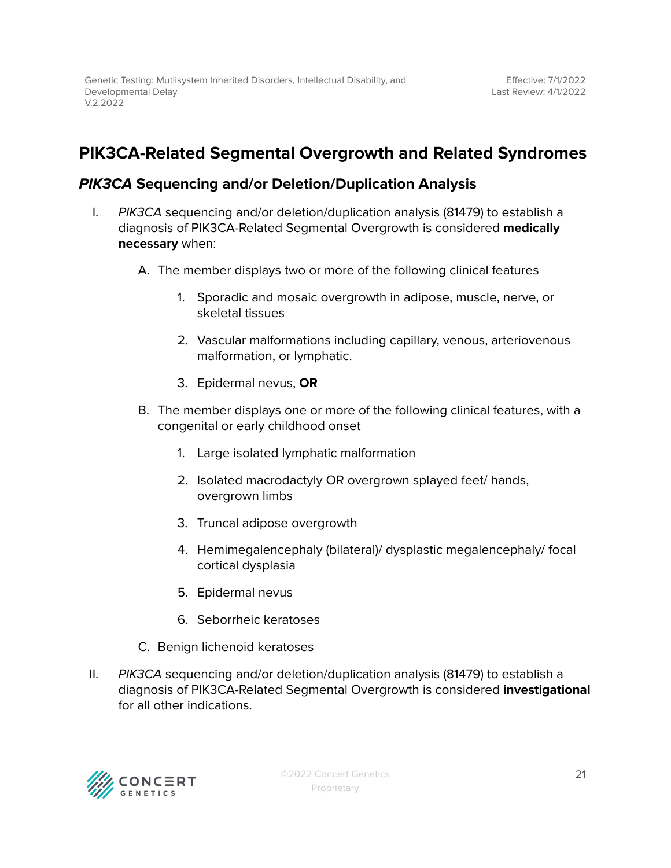## <span id="page-20-0"></span>**PIK3CA-Related Segmental Overgrowth and Related Syndromes**

### **PIK3CA Sequencing and/or Deletion/Duplication Analysis**

- I. PIK3CA sequencing and/or deletion/duplication analysis (81479) to establish a diagnosis of PIK3CA-Related Segmental Overgrowth is considered **medically necessary** when:
	- A. The member displays two or more of the following clinical features
		- 1. Sporadic and mosaic overgrowth in adipose, muscle, nerve, or skeletal tissues
		- 2. Vascular malformations including capillary, venous, arteriovenous malformation, or lymphatic.
		- 3. Epidermal nevus, **OR**
	- B. The member displays one or more of the following clinical features, with a congenital or early childhood onset
		- 1. Large isolated lymphatic malformation
		- 2. Isolated macrodactyly OR overgrown splayed feet/ hands, overgrown limbs
		- 3. Truncal adipose overgrowth
		- 4. Hemimegalencephaly (bilateral)/ dysplastic megalencephaly/ focal cortical dysplasia
		- 5. Epidermal nevus
		- 6. Seborrheic keratoses
	- C. Benign lichenoid keratoses
- II. PIK3CA sequencing and/or deletion/duplication analysis (81479) to establish a diagnosis of PIK3CA-Related Segmental Overgrowth is considered **investigational** for all other indications.

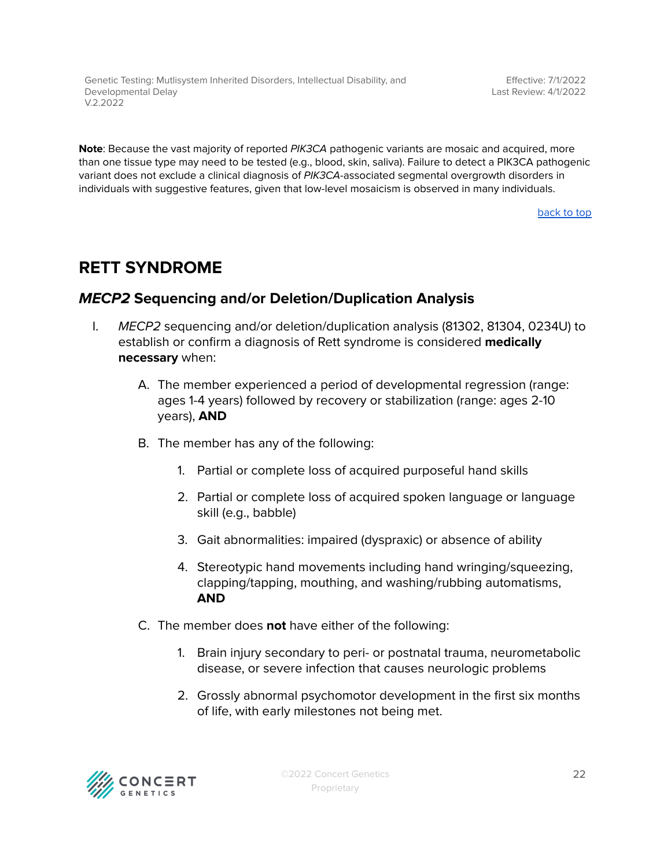Genetic Testing: Mutlisystem Inherited Disorders, Intellectual Disability, and Developmental Delay V.2.2022

Effective: 7/1/2022 Last Review: 4/1/2022

**Note**: Because the vast majority of reported PIK3CA pathogenic variants are mosaic and acquired, more than one tissue type may need to be tested (e.g., blood, skin, saliva). Failure to detect a PIK3CA pathogenic variant does not exclude a clinical diagnosis of PIK3CA-associated segmental overgrowth disorders in individuals with suggestive features, given that low-level mosaicism is observed in many individuals.

[back](#page-0-0) to top

### <span id="page-21-0"></span>**RETT SYNDROME**

### <span id="page-21-1"></span>**MECP2 Sequencing and/or Deletion/Duplication Analysis**

- I. MECP2 sequencing and/or deletion/duplication analysis (81302, 81304, 0234U) to establish or confirm a diagnosis of Rett syndrome is considered **medically necessary** when:
	- A. The member experienced a period of developmental regression (range: ages 1-4 years) followed by recovery or stabilization (range: ages 2-10 years), **AND**
	- B. The member has any of the following:
		- 1. Partial or complete loss of acquired purposeful hand skills
		- 2. Partial or complete loss of acquired spoken language or language skill (e.g., babble)
		- 3. Gait abnormalities: impaired (dyspraxic) or absence of ability
		- 4. Stereotypic hand movements including hand wringing/squeezing, clapping/tapping, mouthing, and washing/rubbing automatisms, **AND**
	- C. The member does **not** have either of the following:
		- 1. Brain injury secondary to peri- or postnatal trauma, neurometabolic disease, or severe infection that causes neurologic problems
		- 2. Grossly abnormal psychomotor development in the first six months of life, with early milestones not being met.

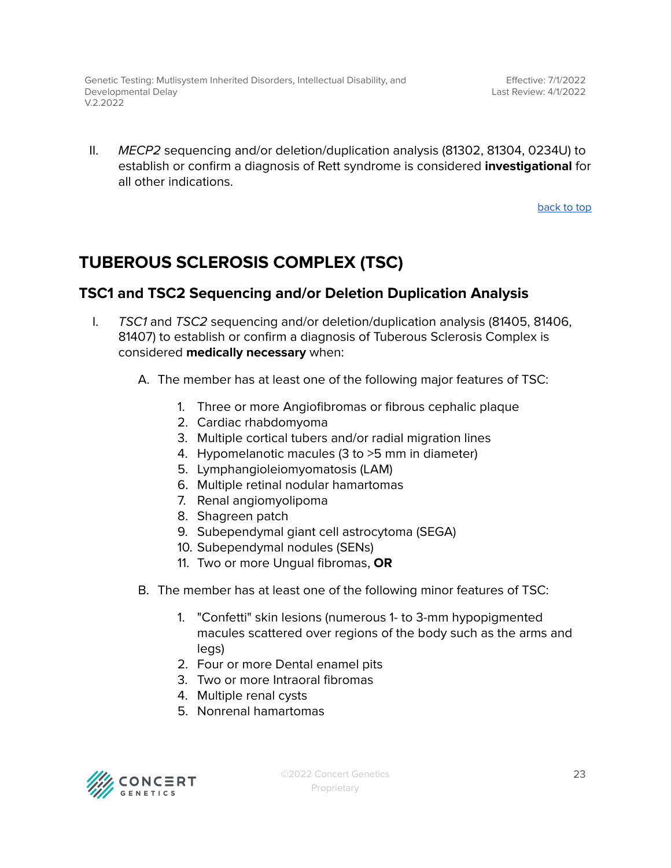II. MECP2 sequencing and/or deletion/duplication analysis (81302, 81304, 0234U) to establish or confirm a diagnosis of Rett syndrome is considered **investigational** for all other indications.

[back](#page-0-0) to top

# <span id="page-22-0"></span>**TUBEROUS SCLEROSIS COMPLEX (TSC)**

### <span id="page-22-1"></span>**TSC1 and TSC2 Sequencing and/or Deletion Duplication Analysis**

- I. TSC1 and TSC2 sequencing and/or deletion/duplication analysis (81405, 81406, 81407) to establish or confirm a diagnosis of Tuberous Sclerosis Complex is considered **medically necessary** when:
	- A. The member has at least one of the following major features of TSC:
		- 1. Three or more Angiofibromas or fibrous cephalic plaque
		- 2. Cardiac rhabdomyoma
		- 3. Multiple cortical tubers and/or radial migration lines
		- 4. Hypomelanotic macules (3 to >5 mm in diameter)
		- 5. Lymphangioleiomyomatosis (LAM)
		- 6. Multiple retinal nodular hamartomas
		- 7. Renal angiomyolipoma
		- 8. Shagreen patch
		- 9. Subependymal giant cell astrocytoma (SEGA)
		- 10. Subependymal nodules (SENs)
		- 11. Two or more Ungual fibromas, **OR**
	- B. The member has at least one of the following minor features of TSC:
		- 1. "Confetti" skin lesions (numerous 1- to 3-mm hypopigmented macules scattered over regions of the body such as the arms and legs)
		- 2. Four or more Dental enamel pits
		- 3. Two or more Intraoral fibromas
		- 4. Multiple renal cysts
		- 5. Nonrenal hamartomas

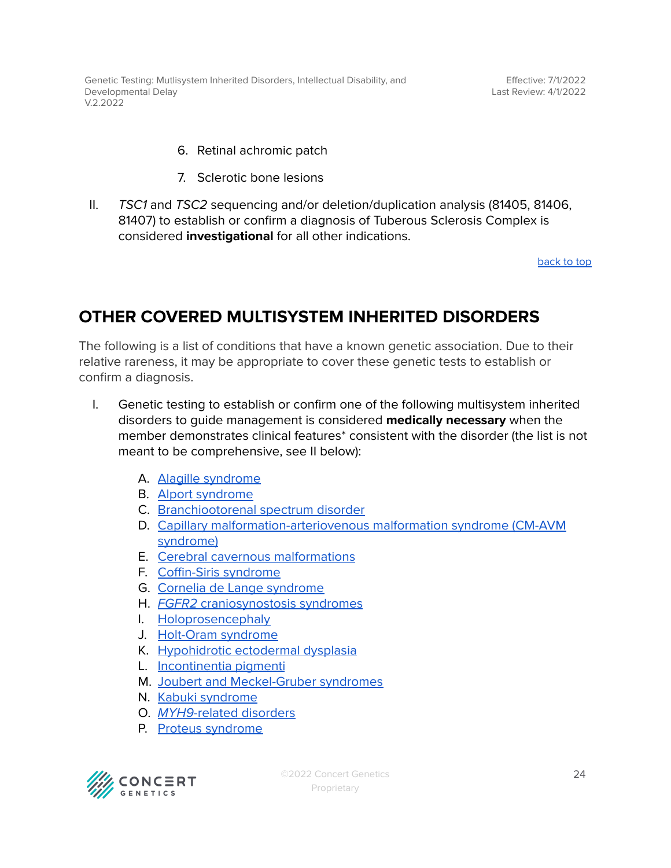Effective: 7/1/2022 Last Review: 4/1/2022

- 6. Retinal achromic patch
- 7. Sclerotic bone lesions
- II. TSC1 and TSC2 sequencing and/or deletion/duplication analysis (81405, 81406, 81407) to establish or confirm a diagnosis of Tuberous Sclerosis Complex is considered **investigational** for all other indications.

[back](#page-0-0) to top

## <span id="page-23-0"></span>**OTHER COVERED MULTISYSTEM INHERITED DISORDERS**

The following is a list of conditions that have a known genetic association. Due to their relative rareness, it may be appropriate to cover these genetic tests to establish or confirm a diagnosis.

- I. Genetic testing to establish or confirm one of the following multisystem inherited disorders to guide management is considered **medically necessary** when the member demonstrates clinical features\* consistent with the disorder (the list is not meant to be comprehensive, see II below):
	- A. Alagille [syndrome](https://www.ncbi.nlm.nih.gov/books/NBK1273/)
	- B. Alport [syndrome](https://www.ncbi.nlm.nih.gov/books/NBK1207/)
	- C. [Branchiootorenal](https://www.ncbi.nlm.nih.gov/books/NBK1380/) spectrum disorder
	- D. Capillary [malformation-arteriovenous](https://www.ncbi.nlm.nih.gov/books/NBK52764/) malformation syndrome (CM-AVM [syndrome\)](https://www.ncbi.nlm.nih.gov/books/NBK52764/)
	- E. Cerebral cavernous [malformations](https://www.ncbi.nlm.nih.gov/books/NBK1293/)
	- F. [Coffin-Siris](https://www.ncbi.nlm.nih.gov/books/NBK131811/) syndrome
	- G. Cornelia de Lange [syndrome](https://www.ncbi.nlm.nih.gov/books/NBK1104/)
	- H. FGFR2 [craniosynostosis](https://www.ncbi.nlm.nih.gov/books/NBK1455/) syndromes
	- I. [Holoprosencephaly](https://www.ncbi.nlm.nih.gov/books/NBK1530/)
	- J. [Holt-Oram](https://www.ncbi.nlm.nih.gov/books/NBK1111/) syndrome
	- K. [Hypohidrotic](https://www.ncbi.nlm.nih.gov/books/NBK1112/) ectodermal dysplasia
	- L. [Incontinentia](https://www.ncbi.nlm.nih.gov/books/NBK1472/) pigmenti
	- M. Joubert and [Meckel-Gruber](https://www.ncbi.nlm.nih.gov/books/NBK1325/) syndromes
	- N. Kabuki [syndrome](https://www.ncbi.nlm.nih.gov/books/NBK62111/)
	- O. MYH9-related [disorders](https://www.ncbi.nlm.nih.gov/books/NBK2689/)
	- P. Proteus [syndrome](https://www.ncbi.nlm.nih.gov/books/NBK99495/)

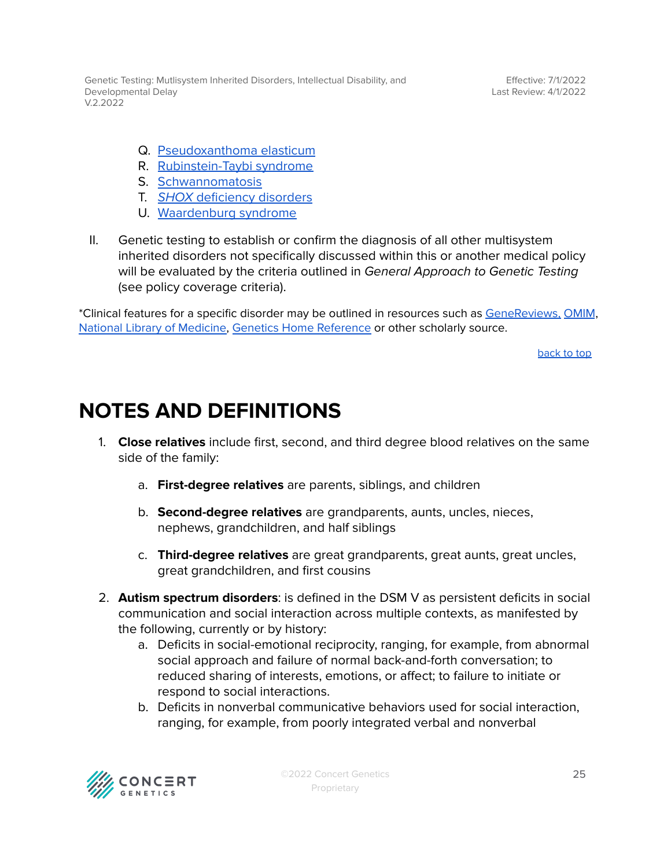Genetic Testing: Mutlisystem Inherited Disorders, Intellectual Disability, and Developmental Delay V.2.2022

Effective: 7/1/2022 Last Review: 4/1/2022

- Q. [Pseudoxanthoma](https://www.ncbi.nlm.nih.gov/books/NBK1113/) elasticum
- R. [Rubinstein-Taybi](https://www.ncbi.nlm.nih.gov/books/NBK1526/) syndrome
- S. [Schwannomatosis](https://www.ncbi.nlm.nih.gov/books/NBK487394/)
- T. SHOX [deficiency](https://www.ncbi.nlm.nih.gov/books/NBK1215/) disorders
- U. [Waardenburg](https://www.ncbi.nlm.nih.gov/books/NBK1531/) syndrome
- II. Genetic testing to establish or confirm the diagnosis of all other multisystem inherited disorders not specifically discussed within this or another medical policy will be evaluated by the criteria outlined in General Approach to Genetic Testing (see policy coverage criteria).

\*Clinical features for a specific disorder may be outlined in resources such as [GeneReviews,](https://www.ncbi.nlm.nih.gov/books/NBK1116/) [OMIM](https://www.omim.org/), National Library of [Medicine,](https://medlineplus.gov/) Genetics Home [Reference](https://medlineplus.gov/genetics/) or other scholarly source.

[back](#page-0-0) to top

# <span id="page-24-0"></span>**NOTES AND DEFINITIONS**

- 1. **Close relatives** include first, second, and third degree blood relatives on the same side of the family:
	- a. **First-degree relatives** are parents, siblings, and children
	- b. **Second-degree relatives** are grandparents, aunts, uncles, nieces, nephews, grandchildren, and half siblings
	- c. **Third-degree relatives** are great grandparents, great aunts, great uncles, great grandchildren, and first cousins
- 2. **Autism spectrum disorders**: is defined in the DSM V as persistent deficits in social communication and social interaction across multiple contexts, as manifested by the following, currently or by history:
	- a. Deficits in social-emotional reciprocity, ranging, for example, from abnormal social approach and failure of normal back-and-forth conversation; to reduced sharing of interests, emotions, or affect; to failure to initiate or respond to social interactions.
	- b. Deficits in nonverbal communicative behaviors used for social interaction, ranging, for example, from poorly integrated verbal and nonverbal

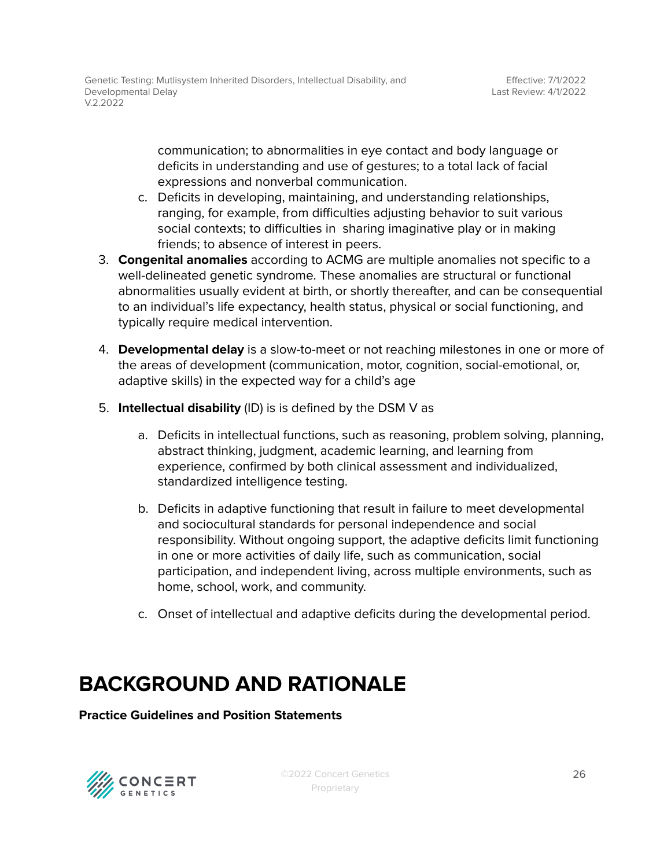communication; to abnormalities in eye contact and body language or deficits in understanding and use of gestures; to a total lack of facial expressions and nonverbal communication.

- c. Deficits in developing, maintaining, and understanding relationships, ranging, for example, from difficulties adjusting behavior to suit various social contexts; to difficulties in sharing imaginative play or in making friends; to absence of interest in peers.
- 3. **Congenital anomalies** according to ACMG are multiple anomalies not specific to a well-delineated genetic syndrome. These anomalies are structural or functional abnormalities usually evident at birth, or shortly thereafter, and can be consequential to an individual's life expectancy, health status, physical or social functioning, and typically require medical intervention.
- 4. **Developmental delay** is a slow-to-meet or not reaching milestones in one or more of the areas of development (communication, motor, cognition, social-emotional, or, adaptive skills) in the expected way for a child's age
- 5. **Intellectual disability** (ID) is is defined by the DSM V as
	- a. Deficits in intellectual functions, such as reasoning, problem solving, planning, abstract thinking, judgment, academic learning, and learning from experience, confirmed by both clinical assessment and individualized, standardized intelligence testing.
	- b. Deficits in adaptive functioning that result in failure to meet developmental and sociocultural standards for personal independence and social responsibility. Without ongoing support, the adaptive deficits limit functioning in one or more activities of daily life, such as communication, social participation, and independent living, across multiple environments, such as home, school, work, and community.
	- c. Onset of intellectual and adaptive deficits during the developmental period.

# **BACKGROUND AND RATIONALE**

**Practice Guidelines and Position Statements**

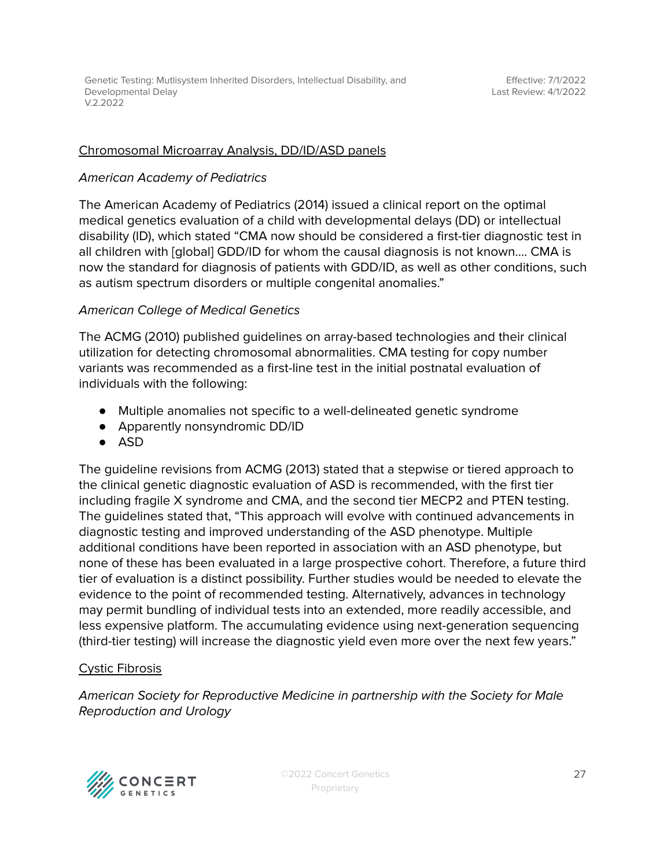#### Chromosomal Microarray Analysis, DD/ID/ASD panels

#### American Academy of Pediatrics

The American Academy of Pediatrics (2014) issued a clinical report on the optimal medical genetics evaluation of a child with developmental delays (DD) or intellectual disability (ID), which stated "CMA now should be considered a first-tier diagnostic test in all children with [global] GDD/ID for whom the causal diagnosis is not known…. CMA is now the standard for diagnosis of patients with GDD/ID, as well as other conditions, such as autism spectrum disorders or multiple congenital anomalies."

#### American College of Medical Genetics

The ACMG (2010) published guidelines on array-based technologies and their clinical utilization for detecting chromosomal abnormalities. CMA testing for copy number variants was recommended as a first-line test in the initial postnatal evaluation of individuals with the following:

- Multiple anomalies not specific to a well-delineated genetic syndrome
- Apparently nonsyndromic DD/ID
- ASD

The guideline revisions from ACMG (2013) stated that a stepwise or tiered approach to the clinical genetic diagnostic evaluation of ASD is recommended, with the first tier including fragile X syndrome and CMA, and the second tier MECP2 and PTEN testing. The guidelines stated that, "This approach will evolve with continued advancements in diagnostic testing and improved understanding of the ASD phenotype. Multiple additional conditions have been reported in association with an ASD phenotype, but none of these has been evaluated in a large prospective cohort. Therefore, a future third tier of evaluation is a distinct possibility. Further studies would be needed to elevate the evidence to the point of recommended testing. Alternatively, advances in technology may permit bundling of individual tests into an extended, more readily accessible, and less expensive platform. The accumulating evidence using next-generation sequencing (third-tier testing) will increase the diagnostic yield even more over the next few years."

### Cystic Fibrosis

American Society for Reproductive Medicine in partnership with the Society for Male Reproduction and Urology

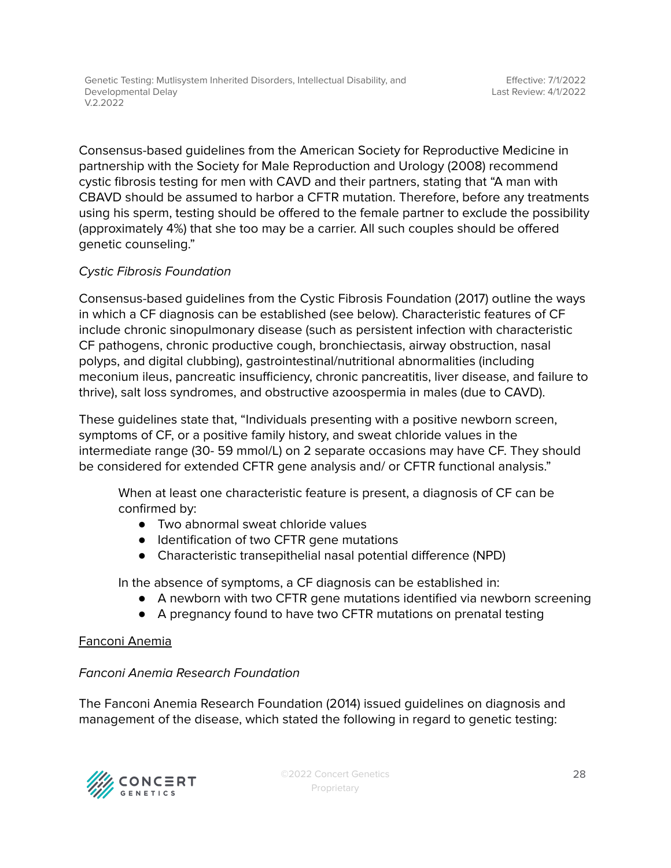Genetic Testing: Mutlisystem Inherited Disorders, Intellectual Disability, and Developmental Delay V.2.2022

Consensus-based guidelines from the American Society for Reproductive Medicine in partnership with the Society for Male Reproduction and Urology (2008) recommend cystic fibrosis testing for men with CAVD and their partners, stating that "A man with CBAVD should be assumed to harbor a CFTR mutation. Therefore, before any treatments using his sperm, testing should be offered to the female partner to exclude the possibility (approximately 4%) that she too may be a carrier. All such couples should be offered genetic counseling."

#### Cystic Fibrosis Foundation

Consensus-based guidelines from the Cystic Fibrosis Foundation (2017) outline the ways in which a CF diagnosis can be established (see below). Characteristic features of CF include chronic sinopulmonary disease (such as persistent infection with characteristic CF pathogens, chronic productive cough, bronchiectasis, airway obstruction, nasal polyps, and digital clubbing), gastrointestinal/nutritional abnormalities (including meconium ileus, pancreatic insufficiency, chronic pancreatitis, liver disease, and failure to thrive), salt loss syndromes, and obstructive azoospermia in males (due to CAVD).

These guidelines state that, "Individuals presenting with a positive newborn screen, symptoms of CF, or a positive family history, and sweat chloride values in the intermediate range (30- 59 mmol/L) on 2 separate occasions may have CF. They should be considered for extended CFTR gene analysis and/ or CFTR functional analysis."

When at least one characteristic feature is present, a diagnosis of CF can be confirmed by:

- Two abnormal sweat chloride values
- Identification of two CFTR gene mutations
- Characteristic transepithelial nasal potential difference (NPD)

In the absence of symptoms, a CF diagnosis can be established in:

- A newborn with two CFTR gene mutations identified via newborn screening
- A pregnancy found to have two CFTR mutations on prenatal testing

#### Fanconi Anemia

#### Fanconi Anemia Research Foundation

The Fanconi Anemia Research Foundation (2014) issued guidelines on diagnosis and management of the disease, which stated the following in regard to genetic testing:

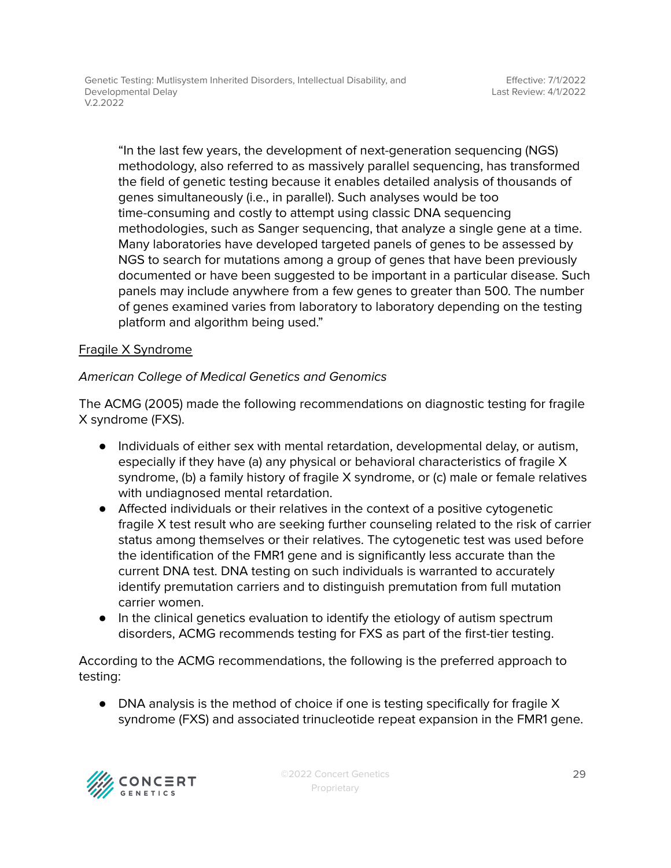"In the last few years, the development of next-generation sequencing (NGS) methodology, also referred to as massively parallel sequencing, has transformed the field of genetic testing because it enables detailed analysis of thousands of genes simultaneously (i.e., in parallel). Such analyses would be too time-consuming and costly to attempt using classic DNA sequencing methodologies, such as Sanger sequencing, that analyze a single gene at a time. Many laboratories have developed targeted panels of genes to be assessed by NGS to search for mutations among a group of genes that have been previously documented or have been suggested to be important in a particular disease. Such panels may include anywhere from a few genes to greater than 500. The number of genes examined varies from laboratory to laboratory depending on the testing platform and algorithm being used."

#### Fragile X Syndrome

### American College of Medical Genetics and Genomics

The ACMG (2005) made the following recommendations on diagnostic testing for fragile X syndrome (FXS).

- Individuals of either sex with mental retardation, developmental delay, or autism, especially if they have (a) any physical or behavioral characteristics of fragile X syndrome, (b) a family history of fragile X syndrome, or (c) male or female relatives with undiagnosed mental retardation.
- Affected individuals or their relatives in the context of a positive cytogenetic fragile X test result who are seeking further counseling related to the risk of carrier status among themselves or their relatives. The cytogenetic test was used before the identification of the FMR1 gene and is significantly less accurate than the current DNA test. DNA testing on such individuals is warranted to accurately identify premutation carriers and to distinguish premutation from full mutation carrier women.
- In the clinical genetics evaluation to identify the etiology of autism spectrum disorders, ACMG recommends testing for FXS as part of the first-tier testing.

According to the ACMG recommendations, the following is the preferred approach to testing:

• DNA analysis is the method of choice if one is testing specifically for fragile X syndrome (FXS) and associated trinucleotide repeat expansion in the FMR1 gene.

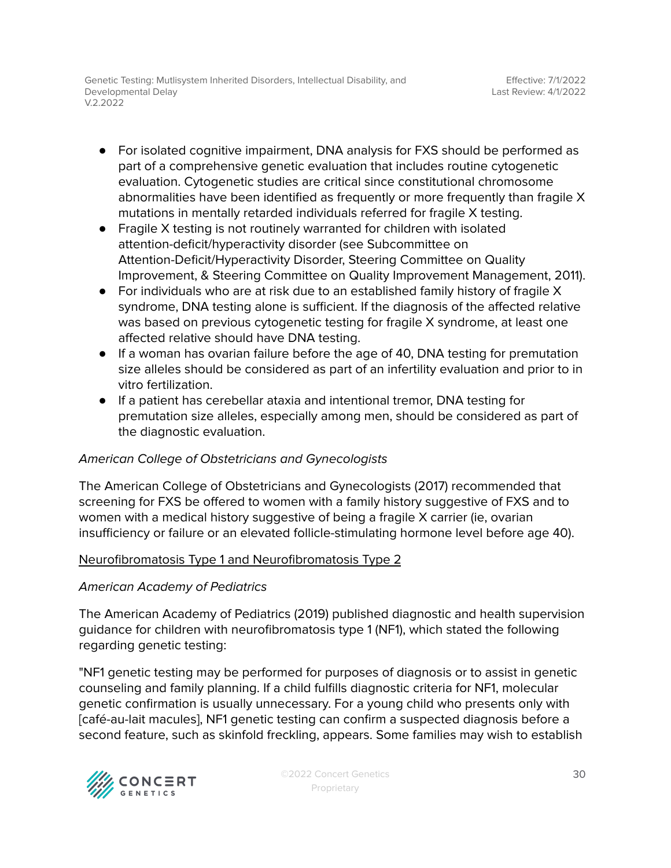Genetic Testing: Mutlisystem Inherited Disorders, Intellectual Disability, and Developmental Delay V.2.2022

- For isolated cognitive impairment, DNA analysis for FXS should be performed as part of a comprehensive genetic evaluation that includes routine cytogenetic evaluation. Cytogenetic studies are critical since constitutional chromosome abnormalities have been identified as frequently or more frequently than fragile X mutations in mentally retarded individuals referred for fragile X testing.
- Fragile X testing is not routinely warranted for children with isolated attention-deficit/hyperactivity disorder (see Subcommittee on Attention-Deficit/Hyperactivity Disorder, Steering Committee on Quality Improvement, & Steering Committee on Quality Improvement Management, 2011).
- For individuals who are at risk due to an established family history of fragile X syndrome, DNA testing alone is sufficient. If the diagnosis of the affected relative was based on previous cytogenetic testing for fragile X syndrome, at least one affected relative should have DNA testing.
- If a woman has ovarian failure before the age of 40, DNA testing for premutation size alleles should be considered as part of an infertility evaluation and prior to in vitro fertilization.
- If a patient has cerebellar ataxia and intentional tremor, DNA testing for premutation size alleles, especially among men, should be considered as part of the diagnostic evaluation.

#### American College of Obstetricians and Gynecologists

The American College of Obstetricians and Gynecologists (2017) recommended that screening for FXS be offered to women with a family history suggestive of FXS and to women with a medical history suggestive of being a fragile X carrier (ie, ovarian insufficiency or failure or an elevated follicle-stimulating hormone level before age 40).

#### Neurofibromatosis Type 1 and Neurofibromatosis Type 2

#### American Academy of Pediatrics

The American Academy of Pediatrics (2019) published diagnostic and health supervision guidance for children with neurofibromatosis type 1 (NF1), which stated the following regarding genetic testing:

"NF1 genetic testing may be performed for purposes of diagnosis or to assist in genetic counseling and family planning. If a child fulfills diagnostic criteria for NF1, molecular genetic confirmation is usually unnecessary. For a young child who presents only with [café-au-lait macules], NF1 genetic testing can confirm a suspected diagnosis before a second feature, such as skinfold freckling, appears. Some families may wish to establish

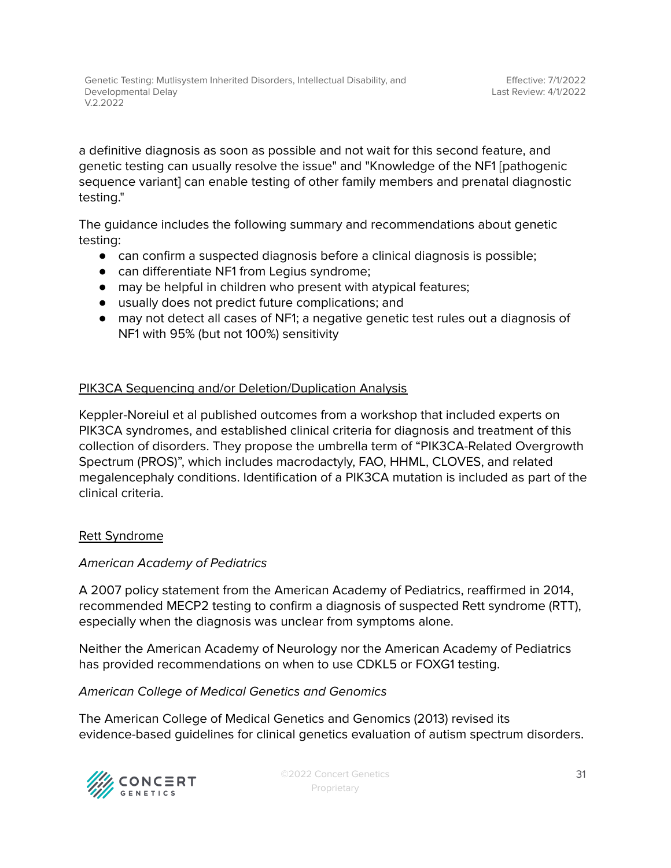a definitive diagnosis as soon as possible and not wait for this second feature, and genetic testing can usually resolve the issue" and "Knowledge of the NF1 [pathogenic sequence variant] can enable testing of other family members and prenatal diagnostic testing."

The guidance includes the following summary and recommendations about genetic testing:

- can confirm a suspected diagnosis before a clinical diagnosis is possible;
- can differentiate NF1 from Legius syndrome;
- may be helpful in children who present with atypical features;
- usually does not predict future complications; and
- may not detect all cases of NF1; a negative genetic test rules out a diagnosis of NF1 with 95% (but not 100%) sensitivity

#### PIK3CA Sequencing and/or Deletion/Duplication Analysis

Keppler-Noreiul et al published outcomes from a workshop that included experts on PIK3CA syndromes, and established clinical criteria for diagnosis and treatment of this collection of disorders. They propose the umbrella term of "PIK3CA-Related Overgrowth Spectrum (PROS)", which includes macrodactyly, FAO, HHML, CLOVES, and related megalencephaly conditions. Identification of a PIK3CA mutation is included as part of the clinical criteria.

#### Rett Syndrome

#### American Academy of Pediatrics

A 2007 policy statement from the American Academy of Pediatrics, reaffirmed in 2014, recommended MECP2 testing to confirm a diagnosis of suspected Rett syndrome (RTT), especially when the diagnosis was unclear from symptoms alone.

Neither the American Academy of Neurology nor the American Academy of Pediatrics has provided recommendations on when to use CDKL5 or FOXG1 testing.

#### American College of Medical Genetics and Genomics

The American College of Medical Genetics and Genomics (2013) revised its evidence-based guidelines for clinical genetics evaluation of autism spectrum disorders.

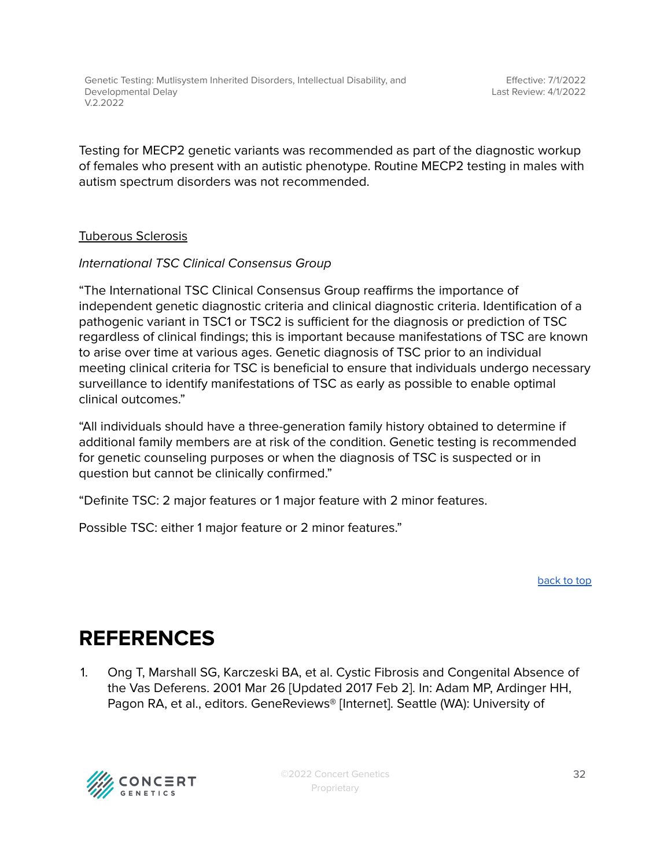Testing for MECP2 genetic variants was recommended as part of the diagnostic workup of females who present with an autistic phenotype. Routine MECP2 testing in males with autism spectrum disorders was not recommended.

#### Tuberous Sclerosis

#### International TSC Clinical Consensus Group

"The International TSC Clinical Consensus Group reaffirms the importance of independent genetic diagnostic criteria and clinical diagnostic criteria. Identification of a pathogenic variant in TSC1 or TSC2 is sufficient for the diagnosis or prediction of TSC regardless of clinical findings; this is important because manifestations of TSC are known to arise over time at various ages. Genetic diagnosis of TSC prior to an individual meeting clinical criteria for TSC is beneficial to ensure that individuals undergo necessary surveillance to identify manifestations of TSC as early as possible to enable optimal clinical outcomes."

"All individuals should have a three-generation family history obtained to determine if additional family members are at risk of the condition. Genetic testing is recommended for genetic counseling purposes or when the diagnosis of TSC is suspected or in question but cannot be clinically confirmed."

"Definite TSC: 2 major features or 1 major feature with 2 minor features.

Possible TSC: either 1 major feature or 2 minor features."

[back](#page-0-0) to top

# <span id="page-31-0"></span>**REFERENCES**

1. Ong T, Marshall SG, Karczeski BA, et al. Cystic Fibrosis and Congenital Absence of the Vas Deferens. 2001 Mar 26 [Updated 2017 Feb 2]. In: Adam MP, Ardinger HH, Pagon RA, et al., editors. GeneReviews® [Internet]. Seattle (WA): University of

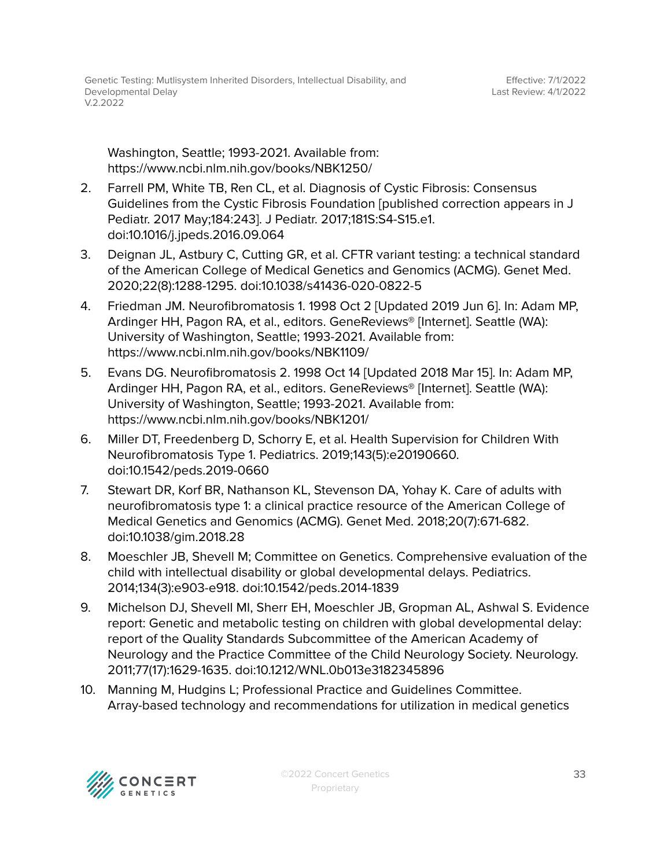Washington, Seattle; 1993-2021. Available from: https://www.ncbi.nlm.nih.gov/books/NBK1250/

- 2. Farrell PM, White TB, Ren CL, et al. Diagnosis of Cystic Fibrosis: Consensus Guidelines from the Cystic Fibrosis Foundation [published correction appears in J Pediatr. 2017 May;184:243]. J Pediatr. 2017;181S:S4-S15.e1. doi:10.1016/j.jpeds.2016.09.064
- 3. Deignan JL, Astbury C, Cutting GR, et al. CFTR variant testing: a technical standard of the American College of Medical Genetics and Genomics (ACMG). Genet Med. 2020;22(8):1288-1295. doi:10.1038/s41436-020-0822-5
- 4. Friedman JM. Neurofibromatosis 1. 1998 Oct 2 [Updated 2019 Jun 6]. In: Adam MP, Ardinger HH, Pagon RA, et al., editors. GeneReviews® [Internet]. Seattle (WA): University of Washington, Seattle; 1993-2021. Available from: https://www.ncbi.nlm.nih.gov/books/NBK1109/
- 5. Evans DG. Neurofibromatosis 2. 1998 Oct 14 [Updated 2018 Mar 15]. In: Adam MP, Ardinger HH, Pagon RA, et al., editors. GeneReviews® [Internet]. Seattle (WA): University of Washington, Seattle; 1993-2021. Available from: https://www.ncbi.nlm.nih.gov/books/NBK1201/
- 6. Miller DT, Freedenberg D, Schorry E, et al. Health Supervision for Children With Neurofibromatosis Type 1. Pediatrics. 2019;143(5):e20190660. doi:10.1542/peds.2019-0660
- 7. Stewart DR, Korf BR, Nathanson KL, Stevenson DA, Yohay K. Care of adults with neurofibromatosis type 1: a clinical practice resource of the American College of Medical Genetics and Genomics (ACMG). Genet Med. 2018;20(7):671-682. doi:10.1038/gim.2018.28
- 8. Moeschler JB, Shevell M; Committee on Genetics. Comprehensive evaluation of the child with intellectual disability or global developmental delays. Pediatrics. 2014;134(3):e903-e918. doi:10.1542/peds.2014-1839
- 9. Michelson DJ, Shevell MI, Sherr EH, Moeschler JB, Gropman AL, Ashwal S. Evidence report: Genetic and metabolic testing on children with global developmental delay: report of the Quality Standards Subcommittee of the American Academy of Neurology and the Practice Committee of the Child Neurology Society. Neurology. 2011;77(17):1629-1635. doi:10.1212/WNL.0b013e3182345896
- 10. Manning M, Hudgins L; Professional Practice and Guidelines Committee. Array-based technology and recommendations for utilization in medical genetics

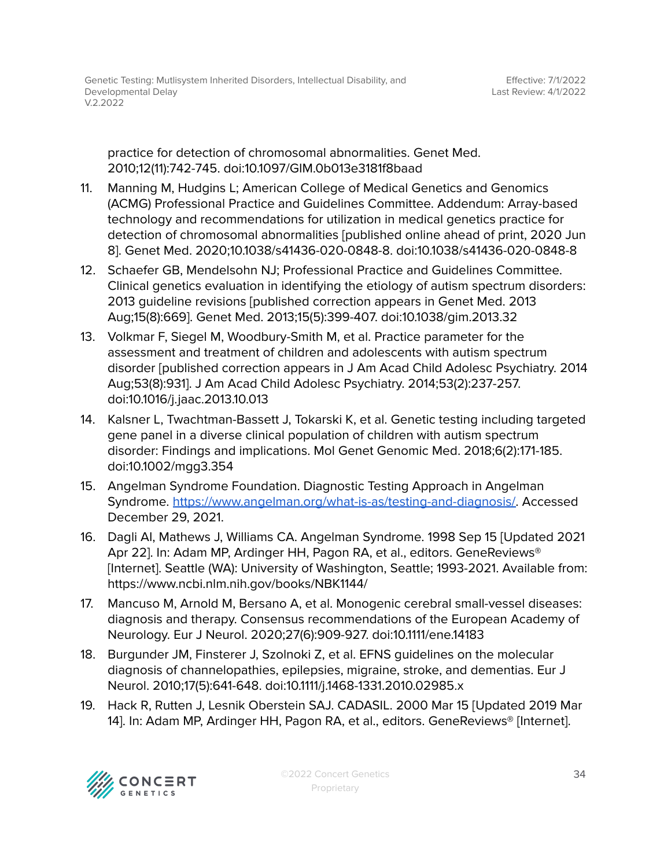practice for detection of chromosomal abnormalities. Genet Med. 2010;12(11):742-745. doi:10.1097/GIM.0b013e3181f8baad

- 11. Manning M, Hudgins L; American College of Medical Genetics and Genomics (ACMG) Professional Practice and Guidelines Committee. Addendum: Array-based technology and recommendations for utilization in medical genetics practice for detection of chromosomal abnormalities [published online ahead of print, 2020 Jun 8]. Genet Med. 2020;10.1038/s41436-020-0848-8. doi:10.1038/s41436-020-0848-8
- 12. Schaefer GB, Mendelsohn NJ; Professional Practice and Guidelines Committee. Clinical genetics evaluation in identifying the etiology of autism spectrum disorders: 2013 guideline revisions [published correction appears in Genet Med. 2013 Aug;15(8):669]. Genet Med. 2013;15(5):399-407. doi:10.1038/gim.2013.32
- 13. Volkmar F, Siegel M, Woodbury-Smith M, et al. Practice parameter for the assessment and treatment of children and adolescents with autism spectrum disorder [published correction appears in J Am Acad Child Adolesc Psychiatry. 2014 Aug;53(8):931]. J Am Acad Child Adolesc Psychiatry. 2014;53(2):237-257. doi:10.1016/j.jaac.2013.10.013
- 14. Kalsner L, Twachtman-Bassett J, Tokarski K, et al. Genetic testing including targeted gene panel in a diverse clinical population of children with autism spectrum disorder: Findings and implications. Mol Genet Genomic Med. 2018;6(2):171-185. doi:10.1002/mgg3.354
- 15. Angelman Syndrome Foundation. Diagnostic Testing Approach in Angelman Syndrome. [https://www.angelman.org/what-is-as/testing-and-diagnosis/.](https://www.angelman.org/what-is-as/testing-and-diagnosis/) Accessed December 29, 2021.
- 16. Dagli AI, Mathews J, Williams CA. Angelman Syndrome. 1998 Sep 15 [Updated 2021 Apr 22]. In: Adam MP, Ardinger HH, Pagon RA, et al., editors. GeneReviews<sup>®</sup> [Internet]. Seattle (WA): University of Washington, Seattle; 1993-2021. Available from: https://www.ncbi.nlm.nih.gov/books/NBK1144/
- 17. Mancuso M, Arnold M, Bersano A, et al. Monogenic cerebral small-vessel diseases: diagnosis and therapy. Consensus recommendations of the European Academy of Neurology. Eur J Neurol. 2020;27(6):909-927. doi:10.1111/ene.14183
- 18. Burgunder JM, Finsterer J, Szolnoki Z, et al. EFNS guidelines on the molecular diagnosis of channelopathies, epilepsies, migraine, stroke, and dementias. Eur J Neurol. 2010;17(5):641-648. doi:10.1111/j.1468-1331.2010.02985.x
- 19. Hack R, Rutten J, Lesnik Oberstein SAJ. CADASIL. 2000 Mar 15 [Updated 2019 Mar 14]. In: Adam MP, Ardinger HH, Pagon RA, et al., editors. GeneReviews® [Internet].

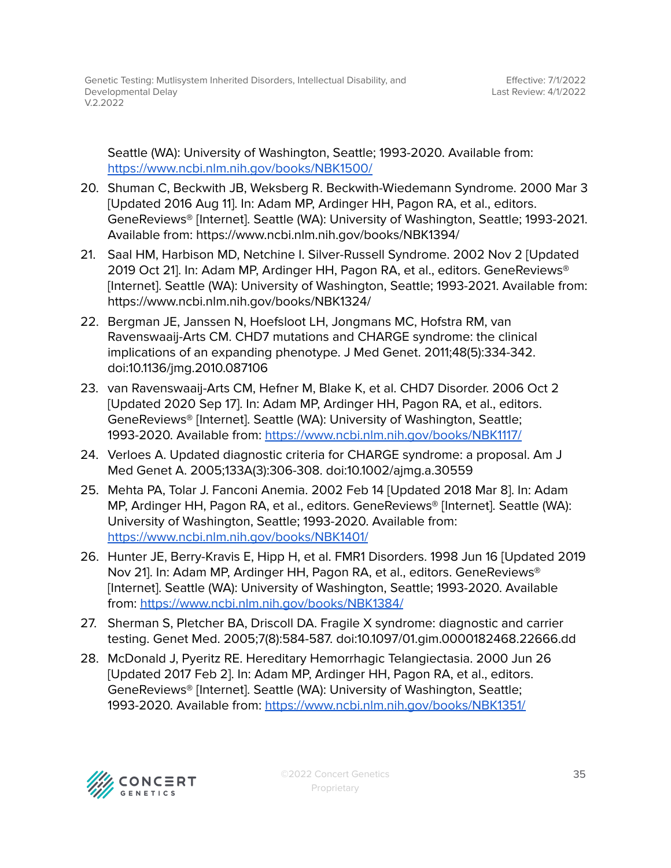Seattle (WA): University of Washington, Seattle; 1993-2020. Available from: <https://www.ncbi.nlm.nih.gov/books/NBK1500/>

- 20. Shuman C, Beckwith JB, Weksberg R. Beckwith-Wiedemann Syndrome. 2000 Mar 3 [Updated 2016 Aug 11]. In: Adam MP, Ardinger HH, Pagon RA, et al., editors. GeneReviews® [Internet]. Seattle (WA): University of Washington, Seattle; 1993-2021. Available from: https://www.ncbi.nlm.nih.gov/books/NBK1394/
- 21. Saal HM, Harbison MD, Netchine I. Silver-Russell Syndrome. 2002 Nov 2 [Updated 2019 Oct 21]. In: Adam MP, Ardinger HH, Pagon RA, et al., editors. GeneReviews® [Internet]. Seattle (WA): University of Washington, Seattle; 1993-2021. Available from: https://www.ncbi.nlm.nih.gov/books/NBK1324/
- 22. Bergman JE, Janssen N, Hoefsloot LH, Jongmans MC, Hofstra RM, van Ravenswaaij-Arts CM. CHD7 mutations and CHARGE syndrome: the clinical implications of an expanding phenotype. J Med Genet. 2011;48(5):334-342. doi:10.1136/jmg.2010.087106
- 23. van Ravenswaaij-Arts CM, Hefner M, Blake K, et al. CHD7 Disorder. 2006 Oct 2 [Updated 2020 Sep 17]. In: Adam MP, Ardinger HH, Pagon RA, et al., editors. GeneReviews® [Internet]. Seattle (WA): University of Washington, Seattle; 1993-2020. Available from: <https://www.ncbi.nlm.nih.gov/books/NBK1117/>
- 24. Verloes A. Updated diagnostic criteria for CHARGE syndrome: a proposal. Am J Med Genet A. 2005;133A(3):306-308. doi:10.1002/ajmg.a.30559
- 25. Mehta PA, Tolar J. Fanconi Anemia. 2002 Feb 14 [Updated 2018 Mar 8]. In: Adam MP, Ardinger HH, Pagon RA, et al., editors. GeneReviews® [Internet]. Seattle (WA): University of Washington, Seattle; 1993-2020. Available from: <https://www.ncbi.nlm.nih.gov/books/NBK1401/>
- 26. Hunter JE, Berry-Kravis E, Hipp H, et al. FMR1 Disorders. 1998 Jun 16 [Updated 2019 Nov 21]. In: Adam MP, Ardinger HH, Pagon RA, et al., editors. GeneReviews® [Internet]. Seattle (WA): University of Washington, Seattle; 1993-2020. Available from: <https://www.ncbi.nlm.nih.gov/books/NBK1384/>
- 27. Sherman S, Pletcher BA, Driscoll DA. Fragile X syndrome: diagnostic and carrier testing. Genet Med. 2005;7(8):584-587. doi:10.1097/01.gim.0000182468.22666.dd
- 28. McDonald J, Pyeritz RE. Hereditary Hemorrhagic Telangiectasia. 2000 Jun 26 [Updated 2017 Feb 2]. In: Adam MP, Ardinger HH, Pagon RA, et al., editors. GeneReviews® [Internet]. Seattle (WA): University of Washington, Seattle; 1993-2020. Available from: <https://www.ncbi.nlm.nih.gov/books/NBK1351/>

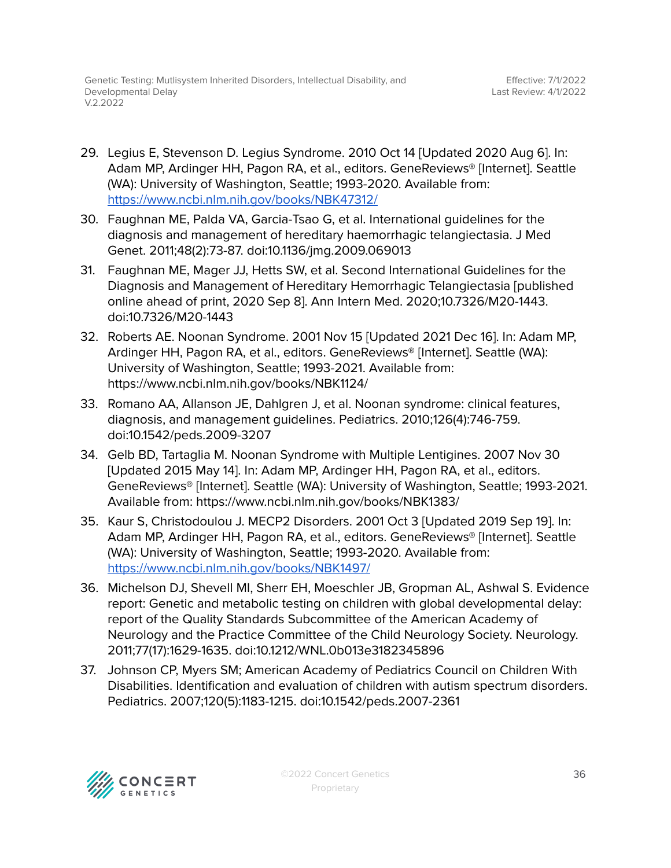- 29. Legius E, Stevenson D. Legius Syndrome. 2010 Oct 14 [Updated 2020 Aug 6]. In: Adam MP, Ardinger HH, Pagon RA, et al., editors. GeneReviews® [Internet]. Seattle (WA): University of Washington, Seattle; 1993-2020. Available from: <https://www.ncbi.nlm.nih.gov/books/NBK47312/>
- 30. Faughnan ME, Palda VA, Garcia-Tsao G, et al. International guidelines for the diagnosis and management of hereditary haemorrhagic telangiectasia. J Med Genet. 2011;48(2):73-87. doi:10.1136/jmg.2009.069013
- 31. Faughnan ME, Mager JJ, Hetts SW, et al. Second International Guidelines for the Diagnosis and Management of Hereditary Hemorrhagic Telangiectasia [published online ahead of print, 2020 Sep 8]. Ann Intern Med. 2020;10.7326/M20-1443. doi:10.7326/M20-1443
- 32. Roberts AE. Noonan Syndrome. 2001 Nov 15 [Updated 2021 Dec 16]. In: Adam MP, Ardinger HH, Pagon RA, et al., editors. GeneReviews® [Internet]. Seattle (WA): University of Washington, Seattle; 1993-2021. Available from: https://www.ncbi.nlm.nih.gov/books/NBK1124/
- 33. Romano AA, Allanson JE, Dahlgren J, et al. Noonan syndrome: clinical features, diagnosis, and management guidelines. Pediatrics. 2010;126(4):746-759. doi:10.1542/peds.2009-3207
- 34. Gelb BD, Tartaglia M. Noonan Syndrome with Multiple Lentigines. 2007 Nov 30 [Updated 2015 May 14]. In: Adam MP, Ardinger HH, Pagon RA, et al., editors. GeneReviews® [Internet]. Seattle (WA): University of Washington, Seattle; 1993-2021. Available from: https://www.ncbi.nlm.nih.gov/books/NBK1383/
- 35. Kaur S, Christodoulou J. MECP2 Disorders. 2001 Oct 3 [Updated 2019 Sep 19]. In: Adam MP, Ardinger HH, Pagon RA, et al., editors. GeneReviews® [Internet]. Seattle (WA): University of Washington, Seattle; 1993-2020. Available from: <https://www.ncbi.nlm.nih.gov/books/NBK1497/>
- 36. Michelson DJ, Shevell MI, Sherr EH, Moeschler JB, Gropman AL, Ashwal S. Evidence report: Genetic and metabolic testing on children with global developmental delay: report of the Quality Standards Subcommittee of the American Academy of Neurology and the Practice Committee of the Child Neurology Society. Neurology. 2011;77(17):1629-1635. doi:10.1212/WNL.0b013e3182345896
- 37. Johnson CP, Myers SM; American Academy of Pediatrics Council on Children With Disabilities. Identification and evaluation of children with autism spectrum disorders. Pediatrics. 2007;120(5):1183-1215. doi:10.1542/peds.2007-2361

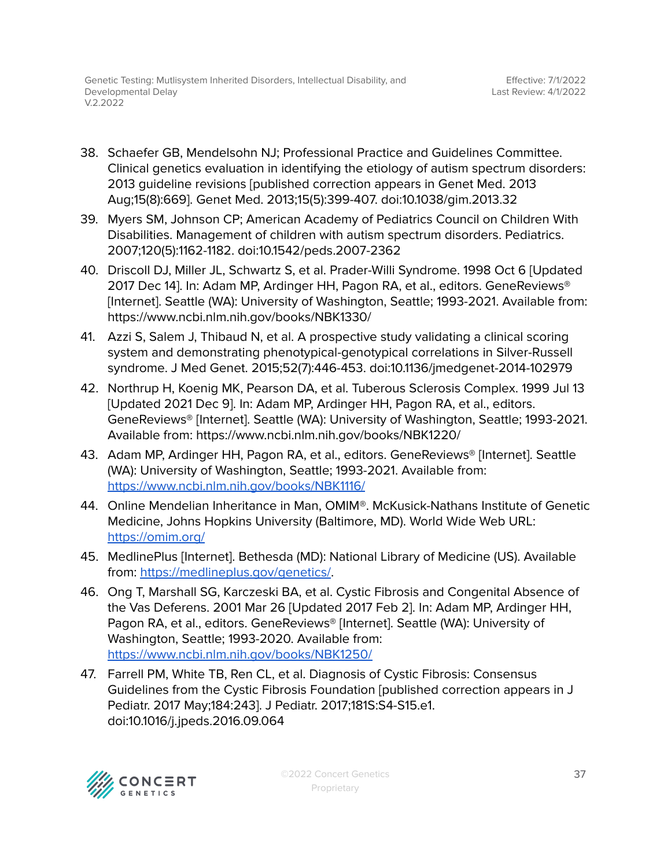- 38. Schaefer GB, Mendelsohn NJ; Professional Practice and Guidelines Committee. Clinical genetics evaluation in identifying the etiology of autism spectrum disorders: 2013 guideline revisions [published correction appears in Genet Med. 2013 Aug;15(8):669]. Genet Med. 2013;15(5):399-407. doi:10.1038/gim.2013.32
- 39. Myers SM, Johnson CP; American Academy of Pediatrics Council on Children With Disabilities. Management of children with autism spectrum disorders. Pediatrics. 2007;120(5):1162-1182. doi:10.1542/peds.2007-2362
- 40. Driscoll DJ, Miller JL, Schwartz S, et al. Prader-Willi Syndrome. 1998 Oct 6 [Updated 2017 Dec 14]. In: Adam MP, Ardinger HH, Pagon RA, et al., editors. GeneReviews® [Internet]. Seattle (WA): University of Washington, Seattle; 1993-2021. Available from: https://www.ncbi.nlm.nih.gov/books/NBK1330/
- 41. Azzi S, Salem J, Thibaud N, et al. A prospective study validating a clinical scoring system and demonstrating phenotypical-genotypical correlations in Silver-Russell syndrome. J Med Genet. 2015;52(7):446-453. doi:10.1136/jmedgenet-2014-102979
- 42. Northrup H, Koenig MK, Pearson DA, et al. Tuberous Sclerosis Complex. 1999 Jul 13 [Updated 2021 Dec 9]. In: Adam MP, Ardinger HH, Pagon RA, et al., editors. GeneReviews® [Internet]. Seattle (WA): University of Washington, Seattle; 1993-2021. Available from: https://www.ncbi.nlm.nih.gov/books/NBK1220/
- 43. Adam MP, Ardinger HH, Pagon RA, et al., editors. GeneReviews® [Internet]. Seattle (WA): University of Washington, Seattle; 1993-2021. Available from: <https://www.ncbi.nlm.nih.gov/books/NBK1116/>
- 44. Online Mendelian Inheritance in Man, OMIM®. McKusick-Nathans Institute of Genetic Medicine, Johns Hopkins University (Baltimore, MD). World Wide Web URL: <https://omim.org/>
- 45. MedlinePlus [Internet]. Bethesda (MD): National Library of Medicine (US). Available from: <https://medlineplus.gov/genetics/>.
- 46. Ong T, Marshall SG, Karczeski BA, et al. Cystic Fibrosis and Congenital Absence of the Vas Deferens. 2001 Mar 26 [Updated 2017 Feb 2]. In: Adam MP, Ardinger HH, Pagon RA, et al., editors. GeneReviews® [Internet]. Seattle (WA): University of Washington, Seattle; 1993-2020. Available from: <https://www.ncbi.nlm.nih.gov/books/NBK1250/>
- 47. Farrell PM, White TB, Ren CL, et al. Diagnosis of Cystic Fibrosis: Consensus Guidelines from the Cystic Fibrosis Foundation [published correction appears in J Pediatr. 2017 May;184:243]. J Pediatr. 2017;181S:S4-S15.e1. doi:10.1016/j.jpeds.2016.09.064